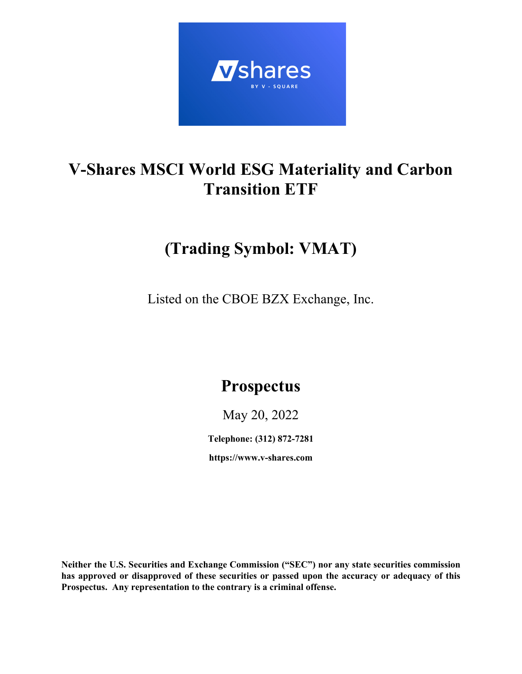

# **V-Shares MSCI World ESG Materiality and Carbon Transition ETF**

# **(Trading Symbol: VMAT)**

Listed on the CBOE BZX Exchange, Inc.

# **Prospectus**

May 20, 2022

**Telephone: (312) 872-7281**

**https://www.v-shares.com**

**Neither the U.S. Securities and Exchange Commission ("SEC") nor any state securities commission has approved or disapproved of these securities or passed upon the accuracy or adequacy of this Prospectus. Any representation to the contrary is a criminal offense.**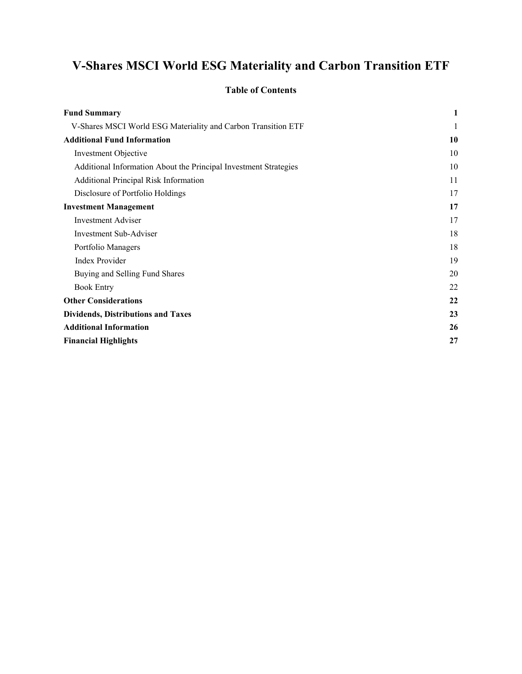# **V-Shares MSCI World ESG Materiality and Carbon Transition ETF**

## **Table of Contents**

| <b>Fund Summary</b>                                              | 1  |
|------------------------------------------------------------------|----|
| V-Shares MSCI World ESG Materiality and Carbon Transition ETF    | 1  |
| <b>Additional Fund Information</b>                               | 10 |
| <b>Investment Objective</b>                                      | 10 |
| Additional Information About the Principal Investment Strategies | 10 |
| Additional Principal Risk Information                            | 11 |
| Disclosure of Portfolio Holdings                                 | 17 |
| <b>Investment Management</b>                                     | 17 |
| <b>Investment Adviser</b>                                        | 17 |
| <b>Investment Sub-Adviser</b>                                    | 18 |
| Portfolio Managers                                               | 18 |
| Index Provider                                                   | 19 |
| Buying and Selling Fund Shares                                   | 20 |
| <b>Book Entry</b>                                                | 22 |
| <b>Other Considerations</b>                                      | 22 |
| <b>Dividends, Distributions and Taxes</b>                        | 23 |
| <b>Additional Information</b>                                    | 26 |
| <b>Financial Highlights</b>                                      | 27 |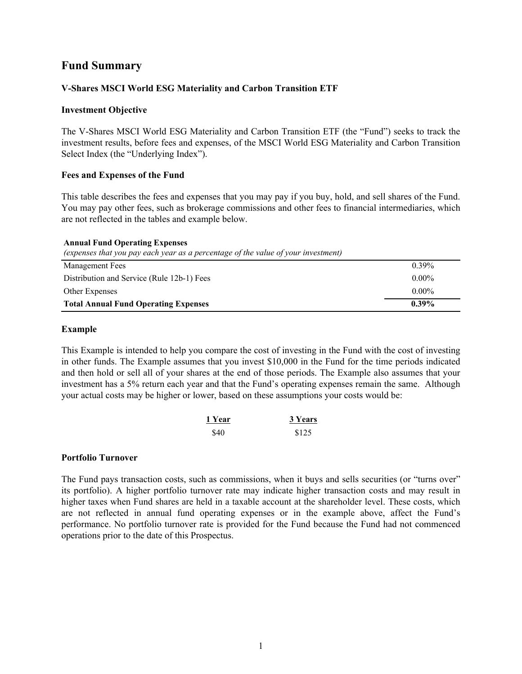# **Fund Summary**

### **V-Shares MSCI World ESG Materiality and Carbon Transition ETF**

#### **Investment Objective**

The V-Shares MSCI World ESG Materiality and Carbon Transition ETF (the "Fund") seeks to track the investment results, before fees and expenses, of the MSCI World ESG Materiality and Carbon Transition Select Index (the "Underlying Index").

#### **Fees and Expenses of the Fund**

This table describes the fees and expenses that you may pay if you buy, hold, and sell shares of the Fund. You may pay other fees, such as brokerage commissions and other fees to financial intermediaries, which are not reflected in the tables and example below.

#### **Annual Fund Operating Expenses**

*(expenses that you pay each year as a percentage of the value of your investment)*

| Management Fees                             | $0.39\%$ |
|---------------------------------------------|----------|
| Distribution and Service (Rule 12b-1) Fees  | $0.00\%$ |
| Other Expenses                              | $0.00\%$ |
| <b>Total Annual Fund Operating Expenses</b> | $0.39\%$ |

#### **Example**

This Example is intended to help you compare the cost of investing in the Fund with the cost of investing in other funds. The Example assumes that you invest \$10,000 in the Fund for the time periods indicated and then hold or sell all of your shares at the end of those periods. The Example also assumes that your investment has a 5% return each year and that the Fund's operating expenses remain the same. Although your actual costs may be higher or lower, based on these assumptions your costs would be:

| 1 Year | 3 Years |
|--------|---------|
| \$40   | \$125   |

#### **Portfolio Turnover**

The Fund pays transaction costs, such as commissions, when it buys and sells securities (or "turns over" its portfolio). A higher portfolio turnover rate may indicate higher transaction costs and may result in higher taxes when Fund shares are held in a taxable account at the shareholder level. These costs, which are not reflected in annual fund operating expenses or in the example above, affect the Fund's performance. No portfolio turnover rate is provided for the Fund because the Fund had not commenced operations prior to the date of this Prospectus.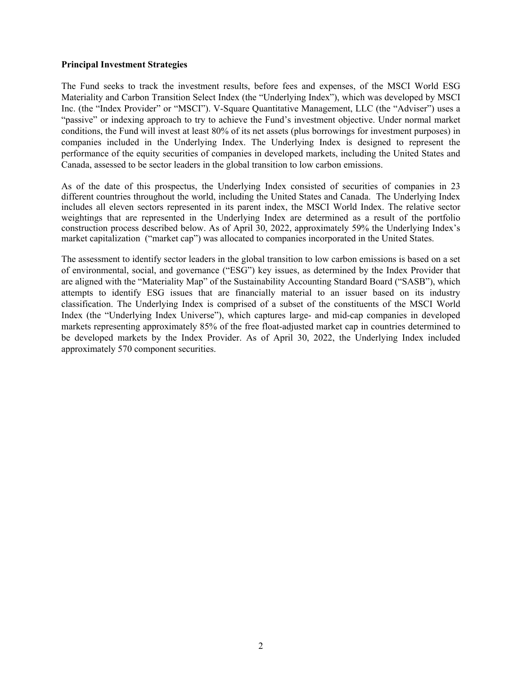#### **Principal Investment Strategies**

The Fund seeks to track the investment results, before fees and expenses, of the MSCI World ESG Materiality and Carbon Transition Select Index (the "Underlying Index"), which was developed by MSCI Inc. (the "Index Provider" or "MSCI"). V-Square Quantitative Management, LLC (the "Adviser") uses a "passive" or indexing approach to try to achieve the Fund's investment objective. Under normal market conditions, the Fund will invest at least 80% of its net assets (plus borrowings for investment purposes) in companies included in the Underlying Index. The Underlying Index is designed to represent the performance of the equity securities of companies in developed markets, including the United States and Canada, assessed to be sector leaders in the global transition to low carbon emissions.

As of the date of this prospectus, the Underlying Index consisted of securities of companies in 23 different countries throughout the world, including the United States and Canada. The Underlying Index includes all eleven sectors represented in its parent index, the MSCI World Index. The relative sector weightings that are represented in the Underlying Index are determined as a result of the portfolio construction process described below. As of April 30, 2022, approximately 59% the Underlying Index's market capitalization ("market cap") was allocated to companies incorporated in the United States.

The assessment to identify sector leaders in the global transition to low carbon emissions is based on a set of environmental, social, and governance ("ESG") key issues, as determined by the Index Provider that are aligned with the "Materiality Map" of the Sustainability Accounting Standard Board ("SASB"), which attempts to identify ESG issues that are financially material to an issuer based on its industry classification. The Underlying Index is comprised of a subset of the constituents of the MSCI World Index (the "Underlying Index Universe"), which captures large- and mid-cap companies in developed markets representing approximately 85% of the free float-adjusted market cap in countries determined to be developed markets by the Index Provider. As of April 30, 2022, the Underlying Index included approximately 570 component securities.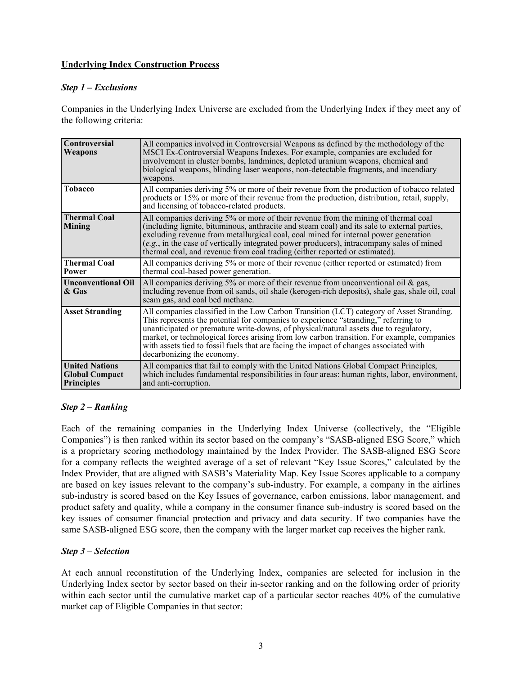#### **Underlying Index Construction Process**

#### *Step 1 – Exclusions*

Companies in the Underlying Index Universe are excluded from the Underlying Index if they meet any of the following criteria:

| Controversial<br>Weapons                                            | All companies involved in Controversial Weapons as defined by the methodology of the<br>MSCI Ex-Controversial Weapons Indexes. For example, companies are excluded for<br>involvement in cluster bombs, landmines, depleted uranium weapons, chemical and<br>biological weapons, blinding laser weapons, non-detectable fragments, and incendiary<br>weapons.                                                                                                                                  |
|---------------------------------------------------------------------|------------------------------------------------------------------------------------------------------------------------------------------------------------------------------------------------------------------------------------------------------------------------------------------------------------------------------------------------------------------------------------------------------------------------------------------------------------------------------------------------|
| <b>Tobacco</b>                                                      | All companies deriving 5% or more of their revenue from the production of tobacco related<br>products or 15% or more of their revenue from the production, distribution, retail, supply,<br>and licensing of tobacco-related products.                                                                                                                                                                                                                                                         |
| <b>Thermal Coal</b><br><b>Mining</b>                                | All companies deriving 5% or more of their revenue from the mining of thermal coal<br>(including lignite, bituminous, anthracite and steam coal) and its sale to external parties,<br>excluding revenue from metallurgical coal, coal mined for internal power generation<br>(e.g., in the case of vertically integrated power producers), intracompany sales of mined<br>thermal coal, and revenue from coal trading (either reported or estimated).                                          |
| <b>Thermal Coal</b><br>Power                                        | All companies deriving 5% or more of their revenue (either reported or estimated) from<br>thermal coal-based power generation.                                                                                                                                                                                                                                                                                                                                                                 |
| <b>Unconventional Oil</b><br>& Gas                                  | All companies deriving 5% or more of their revenue from unconventional oil $\&$ gas,<br>including revenue from oil sands, oil shale (kerogen-rich deposits), shale gas, shale oil, coal<br>seam gas, and coal bed methane.                                                                                                                                                                                                                                                                     |
| <b>Asset Stranding</b>                                              | All companies classified in the Low Carbon Transition (LCT) category of Asset Stranding.<br>This represents the potential for companies to experience "stranding," referring to<br>unanticipated or premature write-downs, of physical/natural assets due to regulatory,<br>market, or technological forces arising from low carbon transition. For example, companies<br>with assets tied to fossil fuels that are facing the impact of changes associated with<br>decarbonizing the economy. |
| <b>United Nations</b><br><b>Global Compact</b><br><b>Principles</b> | All companies that fail to comply with the United Nations Global Compact Principles,<br>which includes fundamental responsibilities in four areas: human rights, labor, environment,<br>and anti-corruption.                                                                                                                                                                                                                                                                                   |

## *Step 2 – Ranking*

Each of the remaining companies in the Underlying Index Universe (collectively, the "Eligible Companies") is then ranked within its sector based on the company's "SASB-aligned ESG Score," which is a proprietary scoring methodology maintained by the Index Provider. The SASB-aligned ESG Score for a company reflects the weighted average of a set of relevant "Key Issue Scores," calculated by the Index Provider, that are aligned with SASB's Materiality Map. Key Issue Scores applicable to a company are based on key issues relevant to the company's sub-industry. For example, a company in the airlines sub-industry is scored based on the Key Issues of governance, carbon emissions, labor management, and product safety and quality, while a company in the consumer finance sub-industry is scored based on the key issues of consumer financial protection and privacy and data security. If two companies have the same SASB-aligned ESG score, then the company with the larger market cap receives the higher rank.

#### *Step 3 – Selection*

At each annual reconstitution of the Underlying Index, companies are selected for inclusion in the Underlying Index sector by sector based on their in-sector ranking and on the following order of priority within each sector until the cumulative market cap of a particular sector reaches 40% of the cumulative market cap of Eligible Companies in that sector: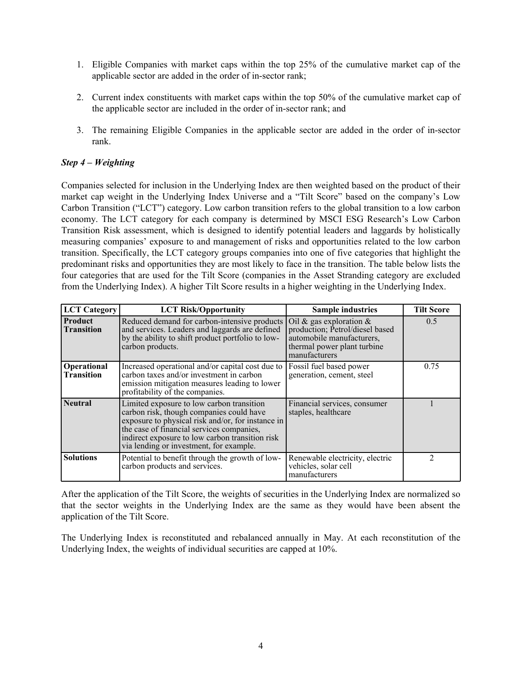- 1. Eligible Companies with market caps within the top 25% of the cumulative market cap of the applicable sector are added in the order of in-sector rank;
- 2. Current index constituents with market caps within the top 50% of the cumulative market cap of the applicable sector are included in the order of in-sector rank; and
- 3. The remaining Eligible Companies in the applicable sector are added in the order of in-sector rank.

### *Step 4 – Weighting*

Companies selected for inclusion in the Underlying Index are then weighted based on the product of their market cap weight in the Underlying Index Universe and a "Tilt Score" based on the company's Low Carbon Transition ("LCT") category. Low carbon transition refers to the global transition to a low carbon economy. The LCT category for each company is determined by MSCI ESG Research's Low Carbon Transition Risk assessment, which is designed to identify potential leaders and laggards by holistically measuring companies' exposure to and management of risks and opportunities related to the low carbon transition. Specifically, the LCT category groups companies into one of five categories that highlight the predominant risks and opportunities they are most likely to face in the transition. The table below lists the four categories that are used for the Tilt Score (companies in the Asset Stranding category are excluded from the Underlying Index). A higher Tilt Score results in a higher weighting in the Underlying Index.

| <b>LCT</b> Category                 | <b>LCT Risk/Opportunity</b>                                                                                                                                                                                                                                                           | <b>Sample industries</b>                                                                                                                   | <b>Tilt Score</b> |
|-------------------------------------|---------------------------------------------------------------------------------------------------------------------------------------------------------------------------------------------------------------------------------------------------------------------------------------|--------------------------------------------------------------------------------------------------------------------------------------------|-------------------|
| <b>Product</b><br><b>Transition</b> | Reduced demand for carbon-intensive products<br>and services. Leaders and laggards are defined<br>by the ability to shift product portfolio to low-<br>carbon products.                                                                                                               | Oil & gas exploration $\&$<br>production; Petrol/diesel based<br>automobile manufacturers,<br>thermal power plant turbine<br>manufacturers | 0.5               |
| Operational<br><b>Transition</b>    | Increased operational and/or capital cost due to<br>carbon taxes and/or investment in carbon<br>emission mitigation measures leading to lower<br>profitability of the companies.                                                                                                      | Fossil fuel based power<br>generation, cement, steel                                                                                       | 0.75              |
| <b>Neutral</b>                      | Limited exposure to low carbon transition<br>carbon risk, though companies could have<br>exposure to physical risk and/or, for instance in<br>the case of financial services companies,<br>indirect exposure to low carbon transition risk<br>via lending or investment, for example. | Financial services, consumer<br>staples, healthcare                                                                                        |                   |
| <b>Solutions</b>                    | Potential to benefit through the growth of low-<br>carbon products and services.                                                                                                                                                                                                      | Renewable electricity, electric<br>vehicles, solar cell<br>manufacturers                                                                   |                   |

After the application of the Tilt Score, the weights of securities in the Underlying Index are normalized so that the sector weights in the Underlying Index are the same as they would have been absent the application of the Tilt Score.

The Underlying Index is reconstituted and rebalanced annually in May. At each reconstitution of the Underlying Index, the weights of individual securities are capped at 10%.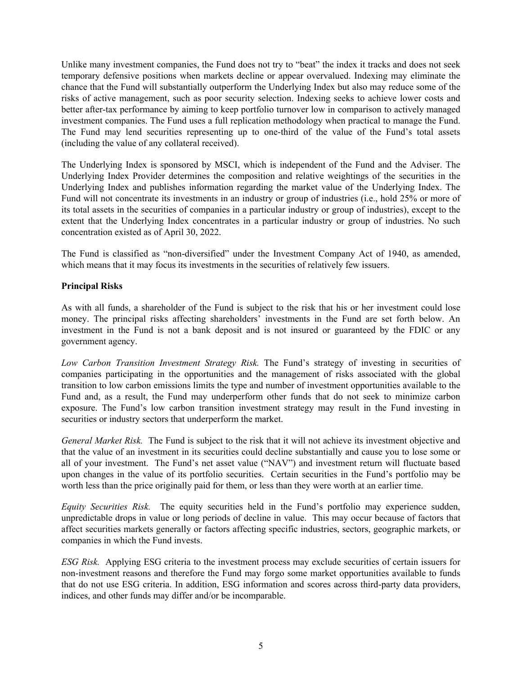Unlike many investment companies, the Fund does not try to "beat" the index it tracks and does not seek temporary defensive positions when markets decline or appear overvalued. Indexing may eliminate the chance that the Fund will substantially outperform the Underlying Index but also may reduce some of the risks of active management, such as poor security selection. Indexing seeks to achieve lower costs and better after-tax performance by aiming to keep portfolio turnover low in comparison to actively managed investment companies. The Fund uses a full replication methodology when practical to manage the Fund. The Fund may lend securities representing up to one-third of the value of the Fund's total assets (including the value of any collateral received).

The Underlying Index is sponsored by MSCI, which is independent of the Fund and the Adviser. The Underlying Index Provider determines the composition and relative weightings of the securities in the Underlying Index and publishes information regarding the market value of the Underlying Index. The Fund will not concentrate its investments in an industry or group of industries (i.e., hold 25% or more of its total assets in the securities of companies in a particular industry or group of industries), except to the extent that the Underlying Index concentrates in a particular industry or group of industries. No such concentration existed as of April 30, 2022.

The Fund is classified as "non-diversified" under the Investment Company Act of 1940, as amended, which means that it may focus its investments in the securities of relatively few issuers.

## **Principal Risks**

As with all funds, a shareholder of the Fund is subject to the risk that his or her investment could lose money. The principal risks affecting shareholders' investments in the Fund are set forth below. An investment in the Fund is not a bank deposit and is not insured or guaranteed by the FDIC or any government agency.

*Low Carbon Transition Investment Strategy Risk.* The Fund's strategy of investing in securities of companies participating in the opportunities and the management of risks associated with the global transition to low carbon emissions limits the type and number of investment opportunities available to the Fund and, as a result, the Fund may underperform other funds that do not seek to minimize carbon exposure. The Fund's low carbon transition investment strategy may result in the Fund investing in securities or industry sectors that underperform the market.

*General Market Risk.* The Fund is subject to the risk that it will not achieve its investment objective and that the value of an investment in its securities could decline substantially and cause you to lose some or all of your investment. The Fund's net asset value ("NAV") and investment return will fluctuate based upon changes in the value of its portfolio securities. Certain securities in the Fund's portfolio may be worth less than the price originally paid for them, or less than they were worth at an earlier time.

*Equity Securities Risk.* The equity securities held in the Fund's portfolio may experience sudden, unpredictable drops in value or long periods of decline in value. This may occur because of factors that affect securities markets generally or factors affecting specific industries, sectors, geographic markets, or companies in which the Fund invests.

*ESG Risk.* Applying ESG criteria to the investment process may exclude securities of certain issuers for non-investment reasons and therefore the Fund may forgo some market opportunities available to funds that do not use ESG criteria. In addition, ESG information and scores across third-party data providers, indices, and other funds may differ and/or be incomparable.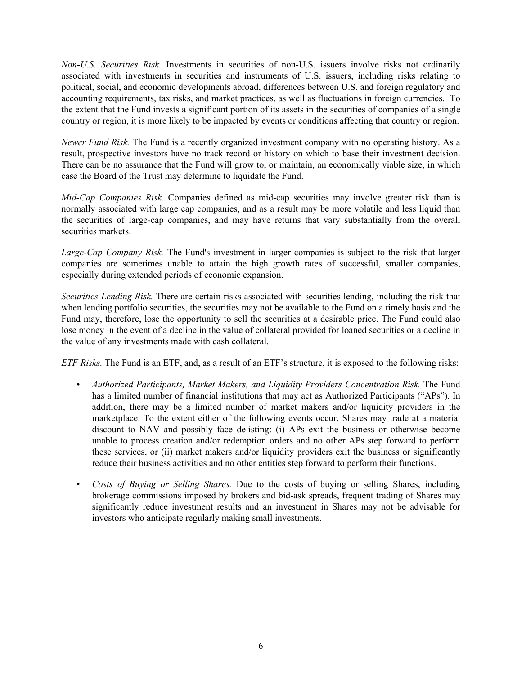*Non-U.S. Securities Risk.* Investments in securities of non-U.S. issuers involve risks not ordinarily associated with investments in securities and instruments of U.S. issuers, including risks relating to political, social, and economic developments abroad, differences between U.S. and foreign regulatory and accounting requirements, tax risks, and market practices, as well as fluctuations in foreign currencies. To the extent that the Fund invests a significant portion of its assets in the securities of companies of a single country or region, it is more likely to be impacted by events or conditions affecting that country or region.

*Newer Fund Risk.* The Fund is a recently organized investment company with no operating history. As a result, prospective investors have no track record or history on which to base their investment decision. There can be no assurance that the Fund will grow to, or maintain, an economically viable size, in which case the Board of the Trust may determine to liquidate the Fund.

*Mid-Cap Companies Risk.* Companies defined as mid-cap securities may involve greater risk than is normally associated with large cap companies, and as a result may be more volatile and less liquid than the securities of large-cap companies, and may have returns that vary substantially from the overall securities markets.

*Large-Cap Company Risk.* The Fund's investment in larger companies is subject to the risk that larger companies are sometimes unable to attain the high growth rates of successful, smaller companies, especially during extended periods of economic expansion.

*Securities Lending Risk.* There are certain risks associated with securities lending, including the risk that when lending portfolio securities, the securities may not be available to the Fund on a timely basis and the Fund may, therefore, lose the opportunity to sell the securities at a desirable price. The Fund could also lose money in the event of a decline in the value of collateral provided for loaned securities or a decline in the value of any investments made with cash collateral.

*ETF Risks.* The Fund is an ETF, and, as a result of an ETF's structure, it is exposed to the following risks:

- *Authorized Participants, Market Makers, and Liquidity Providers Concentration Risk.* The Fund has a limited number of financial institutions that may act as Authorized Participants ("APs"). In addition, there may be a limited number of market makers and/or liquidity providers in the marketplace. To the extent either of the following events occur, Shares may trade at a material discount to NAV and possibly face delisting: (i) APs exit the business or otherwise become unable to process creation and/or redemption orders and no other APs step forward to perform these services, or (ii) market makers and/or liquidity providers exit the business or significantly reduce their business activities and no other entities step forward to perform their functions.
- *Costs of Buying or Selling Shares.* Due to the costs of buying or selling Shares, including brokerage commissions imposed by brokers and bid-ask spreads, frequent trading of Shares may significantly reduce investment results and an investment in Shares may not be advisable for investors who anticipate regularly making small investments.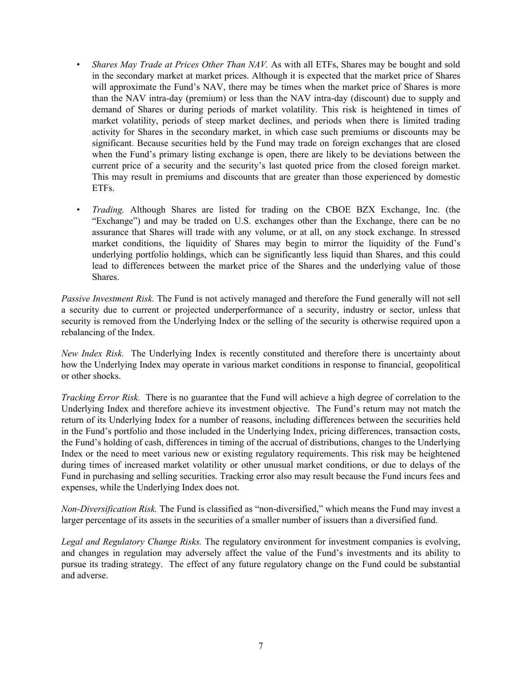- *Shares May Trade at Prices Other Than NAV*. As with all ETFs, Shares may be bought and sold in the secondary market at market prices. Although it is expected that the market price of Shares will approximate the Fund's NAV, there may be times when the market price of Shares is more than the NAV intra-day (premium) or less than the NAV intra-day (discount) due to supply and demand of Shares or during periods of market volatility. This risk is heightened in times of market volatility, periods of steep market declines, and periods when there is limited trading activity for Shares in the secondary market, in which case such premiums or discounts may be significant. Because securities held by the Fund may trade on foreign exchanges that are closed when the Fund's primary listing exchange is open, there are likely to be deviations between the current price of a security and the security's last quoted price from the closed foreign market. This may result in premiums and discounts that are greater than those experienced by domestic ETFs.
- *Trading.* Although Shares are listed for trading on the CBOE BZX Exchange, Inc. (the "Exchange") and may be traded on U.S. exchanges other than the Exchange, there can be no assurance that Shares will trade with any volume, or at all, on any stock exchange. In stressed market conditions, the liquidity of Shares may begin to mirror the liquidity of the Fund's underlying portfolio holdings, which can be significantly less liquid than Shares, and this could lead to differences between the market price of the Shares and the underlying value of those Shares.

*Passive Investment Risk.* The Fund is not actively managed and therefore the Fund generally will not sell a security due to current or projected underperformance of a security, industry or sector, unless that security is removed from the Underlying Index or the selling of the security is otherwise required upon a rebalancing of the Index.

*New Index Risk.* The Underlying Index is recently constituted and therefore there is uncertainty about how the Underlying Index may operate in various market conditions in response to financial, geopolitical or other shocks.

*Tracking Error Risk.* There is no guarantee that the Fund will achieve a high degree of correlation to the Underlying Index and therefore achieve its investment objective. The Fund's return may not match the return of its Underlying Index for a number of reasons, including differences between the securities held in the Fund's portfolio and those included in the Underlying Index, pricing differences, transaction costs, the Fund's holding of cash, differences in timing of the accrual of distributions, changes to the Underlying Index or the need to meet various new or existing regulatory requirements. This risk may be heightened during times of increased market volatility or other unusual market conditions, or due to delays of the Fund in purchasing and selling securities. Tracking error also may result because the Fund incurs fees and expenses, while the Underlying Index does not.

*Non-Diversification Risk.* The Fund is classified as "non-diversified," which means the Fund may invest a larger percentage of its assets in the securities of a smaller number of issuers than a diversified fund.

*Legal and Regulatory Change Risks.* The regulatory environment for investment companies is evolving, and changes in regulation may adversely affect the value of the Fund's investments and its ability to pursue its trading strategy. The effect of any future regulatory change on the Fund could be substantial and adverse.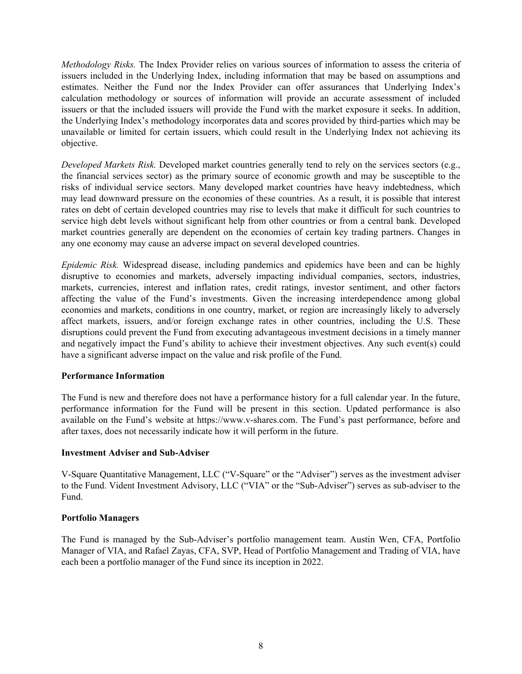*Methodology Risks.* The Index Provider relies on various sources of information to assess the criteria of issuers included in the Underlying Index, including information that may be based on assumptions and estimates. Neither the Fund nor the Index Provider can offer assurances that Underlying Index's calculation methodology or sources of information will provide an accurate assessment of included issuers or that the included issuers will provide the Fund with the market exposure it seeks. In addition, the Underlying Index's methodology incorporates data and scores provided by third-parties which may be unavailable or limited for certain issuers, which could result in the Underlying Index not achieving its objective.

*Developed Markets Risk.* Developed market countries generally tend to rely on the services sectors (e.g., the financial services sector) as the primary source of economic growth and may be susceptible to the risks of individual service sectors. Many developed market countries have heavy indebtedness, which may lead downward pressure on the economies of these countries. As a result, it is possible that interest rates on debt of certain developed countries may rise to levels that make it difficult for such countries to service high debt levels without significant help from other countries or from a central bank. Developed market countries generally are dependent on the economies of certain key trading partners. Changes in any one economy may cause an adverse impact on several developed countries.

*Epidemic Risk.* Widespread disease, including pandemics and epidemics have been and can be highly disruptive to economies and markets, adversely impacting individual companies, sectors, industries, markets, currencies, interest and inflation rates, credit ratings, investor sentiment, and other factors affecting the value of the Fund's investments. Given the increasing interdependence among global economies and markets, conditions in one country, market, or region are increasingly likely to adversely affect markets, issuers, and/or foreign exchange rates in other countries, including the U.S. These disruptions could prevent the Fund from executing advantageous investment decisions in a timely manner and negatively impact the Fund's ability to achieve their investment objectives. Any such event(s) could have a significant adverse impact on the value and risk profile of the Fund.

#### **Performance Information**

The Fund is new and therefore does not have a performance history for a full calendar year. In the future, performance information for the Fund will be present in this section. Updated performance is also available on the Fund's website at https://www.v-shares.com. The Fund's past performance, before and after taxes, does not necessarily indicate how it will perform in the future.

#### **Investment Adviser and Sub-Adviser**

V-Square Quantitative Management, LLC ("V-Square" or the "Adviser") serves as the investment adviser to the Fund. Vident Investment Advisory, LLC ("VIA" or the "Sub-Adviser") serves as sub-adviser to the Fund.

#### **Portfolio Managers**

The Fund is managed by the Sub-Adviser's portfolio management team. Austin Wen, CFA, Portfolio Manager of VIA, and Rafael Zayas, CFA, SVP, Head of Portfolio Management and Trading of VIA, have each been a portfolio manager of the Fund since its inception in 2022.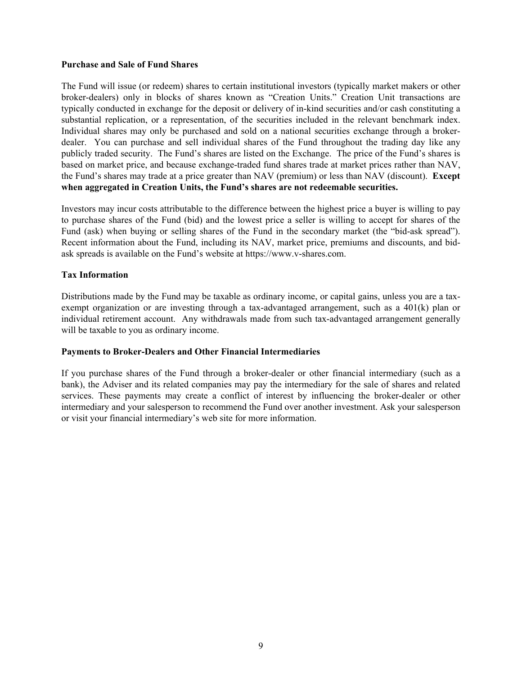#### **Purchase and Sale of Fund Shares**

The Fund will issue (or redeem) shares to certain institutional investors (typically market makers or other broker-dealers) only in blocks of shares known as "Creation Units." Creation Unit transactions are typically conducted in exchange for the deposit or delivery of in-kind securities and/or cash constituting a substantial replication, or a representation, of the securities included in the relevant benchmark index. Individual shares may only be purchased and sold on a national securities exchange through a brokerdealer. You can purchase and sell individual shares of the Fund throughout the trading day like any publicly traded security. The Fund's shares are listed on the Exchange. The price of the Fund's shares is based on market price, and because exchange-traded fund shares trade at market prices rather than NAV, the Fund's shares may trade at a price greater than NAV (premium) or less than NAV (discount). **Except when aggregated in Creation Units, the Fund's shares are not redeemable securities.** 

Investors may incur costs attributable to the difference between the highest price a buyer is willing to pay to purchase shares of the Fund (bid) and the lowest price a seller is willing to accept for shares of the Fund (ask) when buying or selling shares of the Fund in the secondary market (the "bid-ask spread"). Recent information about the Fund, including its NAV, market price, premiums and discounts, and bidask spreads is available on the Fund's website at https://www.v-shares.com.

#### **Tax Information**

Distributions made by the Fund may be taxable as ordinary income, or capital gains, unless you are a taxexempt organization or are investing through a tax-advantaged arrangement, such as a 401(k) plan or individual retirement account. Any withdrawals made from such tax-advantaged arrangement generally will be taxable to you as ordinary income.

#### **Payments to Broker-Dealers and Other Financial Intermediaries**

If you purchase shares of the Fund through a broker-dealer or other financial intermediary (such as a bank), the Adviser and its related companies may pay the intermediary for the sale of shares and related services. These payments may create a conflict of interest by influencing the broker-dealer or other intermediary and your salesperson to recommend the Fund over another investment. Ask your salesperson or visit your financial intermediary's web site for more information.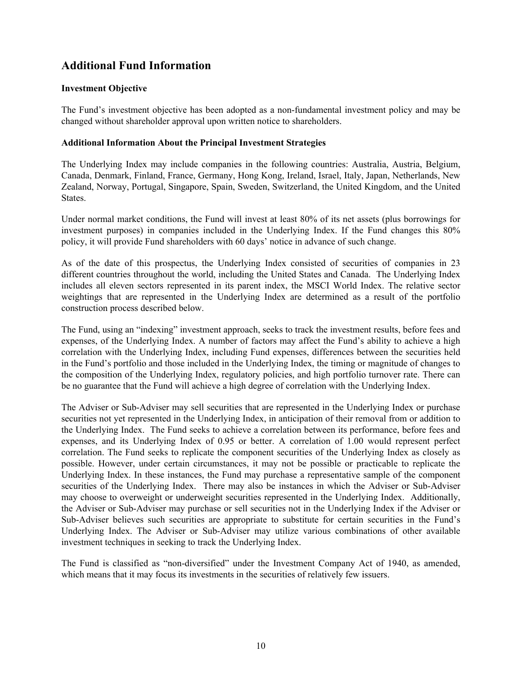# **Additional Fund Information**

### **Investment Objective**

The Fund's investment objective has been adopted as a non-fundamental investment policy and may be changed without shareholder approval upon written notice to shareholders.

#### **Additional Information About the Principal Investment Strategies**

The Underlying Index may include companies in the following countries: Australia, Austria, Belgium, Canada, Denmark, Finland, France, Germany, Hong Kong, Ireland, Israel, Italy, Japan, Netherlands, New Zealand, Norway, Portugal, Singapore, Spain, Sweden, Switzerland, the United Kingdom, and the United States.

Under normal market conditions, the Fund will invest at least 80% of its net assets (plus borrowings for investment purposes) in companies included in the Underlying Index. If the Fund changes this 80% policy, it will provide Fund shareholders with 60 days' notice in advance of such change.

As of the date of this prospectus, the Underlying Index consisted of securities of companies in 23 different countries throughout the world, including the United States and Canada. The Underlying Index includes all eleven sectors represented in its parent index, the MSCI World Index. The relative sector weightings that are represented in the Underlying Index are determined as a result of the portfolio construction process described below.

The Fund, using an "indexing" investment approach, seeks to track the investment results, before fees and expenses, of the Underlying Index. A number of factors may affect the Fund's ability to achieve a high correlation with the Underlying Index, including Fund expenses, differences between the securities held in the Fund's portfolio and those included in the Underlying Index, the timing or magnitude of changes to the composition of the Underlying Index, regulatory policies, and high portfolio turnover rate. There can be no guarantee that the Fund will achieve a high degree of correlation with the Underlying Index.

The Adviser or Sub-Adviser may sell securities that are represented in the Underlying Index or purchase securities not yet represented in the Underlying Index, in anticipation of their removal from or addition to the Underlying Index. The Fund seeks to achieve a correlation between its performance, before fees and expenses, and its Underlying Index of 0.95 or better. A correlation of 1.00 would represent perfect correlation. The Fund seeks to replicate the component securities of the Underlying Index as closely as possible. However, under certain circumstances, it may not be possible or practicable to replicate the Underlying Index. In these instances, the Fund may purchase a representative sample of the component securities of the Underlying Index. There may also be instances in which the Adviser or Sub-Adviser may choose to overweight or underweight securities represented in the Underlying Index. Additionally, the Adviser or Sub-Adviser may purchase or sell securities not in the Underlying Index if the Adviser or Sub-Adviser believes such securities are appropriate to substitute for certain securities in the Fund's Underlying Index. The Adviser or Sub-Adviser may utilize various combinations of other available investment techniques in seeking to track the Underlying Index.

The Fund is classified as "non-diversified" under the Investment Company Act of 1940, as amended, which means that it may focus its investments in the securities of relatively few issuers.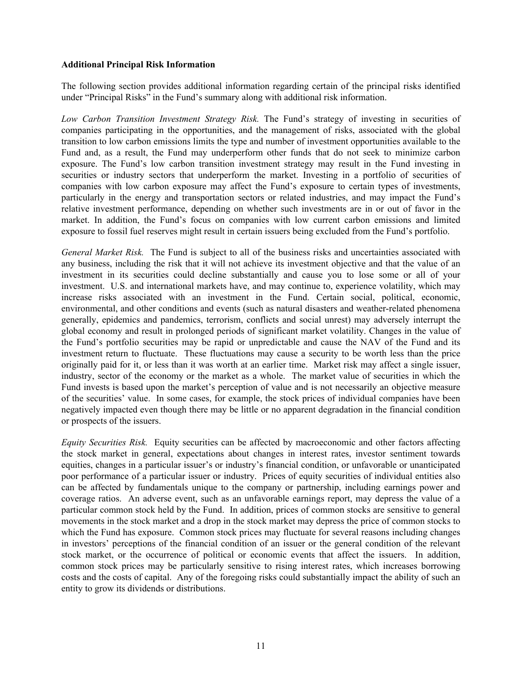#### **Additional Principal Risk Information**

The following section provides additional information regarding certain of the principal risks identified under "Principal Risks" in the Fund's summary along with additional risk information.

*Low Carbon Transition Investment Strategy Risk.* The Fund's strategy of investing in securities of companies participating in the opportunities, and the management of risks, associated with the global transition to low carbon emissions limits the type and number of investment opportunities available to the Fund and, as a result, the Fund may underperform other funds that do not seek to minimize carbon exposure. The Fund's low carbon transition investment strategy may result in the Fund investing in securities or industry sectors that underperform the market. Investing in a portfolio of securities of companies with low carbon exposure may affect the Fund's exposure to certain types of investments, particularly in the energy and transportation sectors or related industries, and may impact the Fund's relative investment performance, depending on whether such investments are in or out of favor in the market. In addition, the Fund's focus on companies with low current carbon emissions and limited exposure to fossil fuel reserves might result in certain issuers being excluded from the Fund's portfolio.

*General Market Risk.* The Fund is subject to all of the business risks and uncertainties associated with any business, including the risk that it will not achieve its investment objective and that the value of an investment in its securities could decline substantially and cause you to lose some or all of your investment. U.S. and international markets have, and may continue to, experience volatility, which may increase risks associated with an investment in the Fund. Certain social, political, economic, environmental, and other conditions and events (such as natural disasters and weather-related phenomena generally, epidemics and pandemics, terrorism, conflicts and social unrest) may adversely interrupt the global economy and result in prolonged periods of significant market volatility. Changes in the value of the Fund's portfolio securities may be rapid or unpredictable and cause the NAV of the Fund and its investment return to fluctuate. These fluctuations may cause a security to be worth less than the price originally paid for it, or less than it was worth at an earlier time. Market risk may affect a single issuer, industry, sector of the economy or the market as a whole. The market value of securities in which the Fund invests is based upon the market's perception of value and is not necessarily an objective measure of the securities' value. In some cases, for example, the stock prices of individual companies have been negatively impacted even though there may be little or no apparent degradation in the financial condition or prospects of the issuers.

*Equity Securities Risk.* Equity securities can be affected by macroeconomic and other factors affecting the stock market in general, expectations about changes in interest rates, investor sentiment towards equities, changes in a particular issuer's or industry's financial condition, or unfavorable or unanticipated poor performance of a particular issuer or industry. Prices of equity securities of individual entities also can be affected by fundamentals unique to the company or partnership, including earnings power and coverage ratios. An adverse event, such as an unfavorable earnings report, may depress the value of a particular common stock held by the Fund. In addition, prices of common stocks are sensitive to general movements in the stock market and a drop in the stock market may depress the price of common stocks to which the Fund has exposure. Common stock prices may fluctuate for several reasons including changes in investors' perceptions of the financial condition of an issuer or the general condition of the relevant stock market, or the occurrence of political or economic events that affect the issuers. In addition, common stock prices may be particularly sensitive to rising interest rates, which increases borrowing costs and the costs of capital. Any of the foregoing risks could substantially impact the ability of such an entity to grow its dividends or distributions.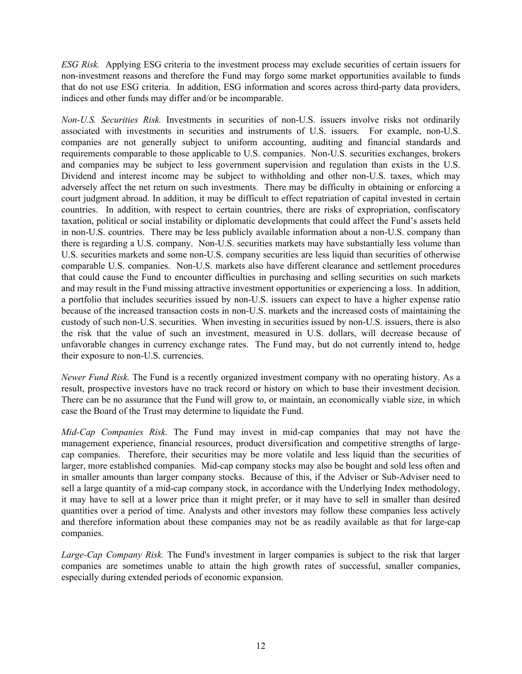*ESG Risk.* Applying ESG criteria to the investment process may exclude securities of certain issuers for non-investment reasons and therefore the Fund may forgo some market opportunities available to funds that do not use ESG criteria. In addition, ESG information and scores across third-party data providers, indices and other funds may differ and/or be incomparable.

*Non-U.S. Securities Risk.* Investments in securities of non-U.S. issuers involve risks not ordinarily associated with investments in securities and instruments of U.S. issuers. For example, non-U.S. companies are not generally subject to uniform accounting, auditing and financial standards and requirements comparable to those applicable to U.S. companies. Non-U.S. securities exchanges, brokers and companies may be subject to less government supervision and regulation than exists in the U.S. Dividend and interest income may be subject to withholding and other non-U.S. taxes, which may adversely affect the net return on such investments. There may be difficulty in obtaining or enforcing a court judgment abroad. In addition, it may be difficult to effect repatriation of capital invested in certain countries. In addition, with respect to certain countries, there are risks of expropriation, confiscatory taxation, political or social instability or diplomatic developments that could affect the Fund's assets held in non-U.S. countries. There may be less publicly available information about a non-U.S. company than there is regarding a U.S. company. Non-U.S. securities markets may have substantially less volume than U.S. securities markets and some non-U.S. company securities are less liquid than securities of otherwise comparable U.S. companies. Non-U.S. markets also have different clearance and settlement procedures that could cause the Fund to encounter difficulties in purchasing and selling securities on such markets and may result in the Fund missing attractive investment opportunities or experiencing a loss. In addition, a portfolio that includes securities issued by non-U.S. issuers can expect to have a higher expense ratio because of the increased transaction costs in non-U.S. markets and the increased costs of maintaining the custody of such non-U.S. securities. When investing in securities issued by non-U.S. issuers, there is also the risk that the value of such an investment, measured in U.S. dollars, will decrease because of unfavorable changes in currency exchange rates. The Fund may, but do not currently intend to, hedge their exposure to non-U.S. currencies.

*Newer Fund Risk.* The Fund is a recently organized investment company with no operating history. As a result, prospective investors have no track record or history on which to base their investment decision. There can be no assurance that the Fund will grow to, or maintain, an economically viable size, in which case the Board of the Trust may determine to liquidate the Fund.

*Mid-Cap Companies Risk.* The Fund may invest in mid-cap companies that may not have the management experience, financial resources, product diversification and competitive strengths of largecap companies. Therefore, their securities may be more volatile and less liquid than the securities of larger, more established companies. Mid-cap company stocks may also be bought and sold less often and in smaller amounts than larger company stocks. Because of this, if the Adviser or Sub-Adviser need to sell a large quantity of a mid-cap company stock, in accordance with the Underlying Index methodology, it may have to sell at a lower price than it might prefer, or it may have to sell in smaller than desired quantities over a period of time. Analysts and other investors may follow these companies less actively and therefore information about these companies may not be as readily available as that for large-cap companies.

*Large-Cap Company Risk.* The Fund's investment in larger companies is subject to the risk that larger companies are sometimes unable to attain the high growth rates of successful, smaller companies, especially during extended periods of economic expansion.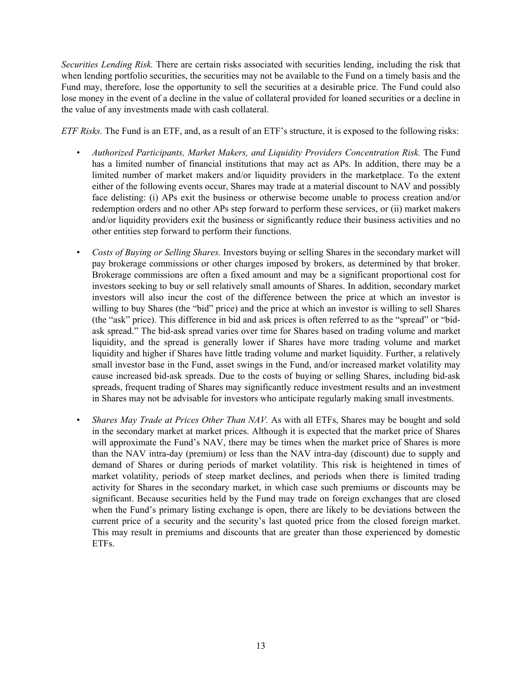*Securities Lending Risk.* There are certain risks associated with securities lending, including the risk that when lending portfolio securities, the securities may not be available to the Fund on a timely basis and the Fund may, therefore, lose the opportunity to sell the securities at a desirable price. The Fund could also lose money in the event of a decline in the value of collateral provided for loaned securities or a decline in the value of any investments made with cash collateral.

*ETF Risks.* The Fund is an ETF, and, as a result of an ETF's structure, it is exposed to the following risks:

- *Authorized Participants, Market Makers, and Liquidity Providers Concentration Risk.* The Fund has a limited number of financial institutions that may act as APs. In addition, there may be a limited number of market makers and/or liquidity providers in the marketplace. To the extent either of the following events occur, Shares may trade at a material discount to NAV and possibly face delisting: (i) APs exit the business or otherwise become unable to process creation and/or redemption orders and no other APs step forward to perform these services, or (ii) market makers and/or liquidity providers exit the business or significantly reduce their business activities and no other entities step forward to perform their functions.
- *Costs of Buying or Selling Shares.* Investors buying or selling Shares in the secondary market will pay brokerage commissions or other charges imposed by brokers, as determined by that broker. Brokerage commissions are often a fixed amount and may be a significant proportional cost for investors seeking to buy or sell relatively small amounts of Shares. In addition, secondary market investors will also incur the cost of the difference between the price at which an investor is willing to buy Shares (the "bid" price) and the price at which an investor is willing to sell Shares (the "ask" price). This difference in bid and ask prices is often referred to as the "spread" or "bidask spread." The bid-ask spread varies over time for Shares based on trading volume and market liquidity, and the spread is generally lower if Shares have more trading volume and market liquidity and higher if Shares have little trading volume and market liquidity. Further, a relatively small investor base in the Fund, asset swings in the Fund, and/or increased market volatility may cause increased bid-ask spreads. Due to the costs of buying or selling Shares, including bid-ask spreads, frequent trading of Shares may significantly reduce investment results and an investment in Shares may not be advisable for investors who anticipate regularly making small investments.
- *Shares May Trade at Prices Other Than NAV.* As with all ETFs, Shares may be bought and sold in the secondary market at market prices. Although it is expected that the market price of Shares will approximate the Fund's NAV, there may be times when the market price of Shares is more than the NAV intra-day (premium) or less than the NAV intra-day (discount) due to supply and demand of Shares or during periods of market volatility. This risk is heightened in times of market volatility, periods of steep market declines, and periods when there is limited trading activity for Shares in the secondary market, in which case such premiums or discounts may be significant. Because securities held by the Fund may trade on foreign exchanges that are closed when the Fund's primary listing exchange is open, there are likely to be deviations between the current price of a security and the security's last quoted price from the closed foreign market. This may result in premiums and discounts that are greater than those experienced by domestic ETFs.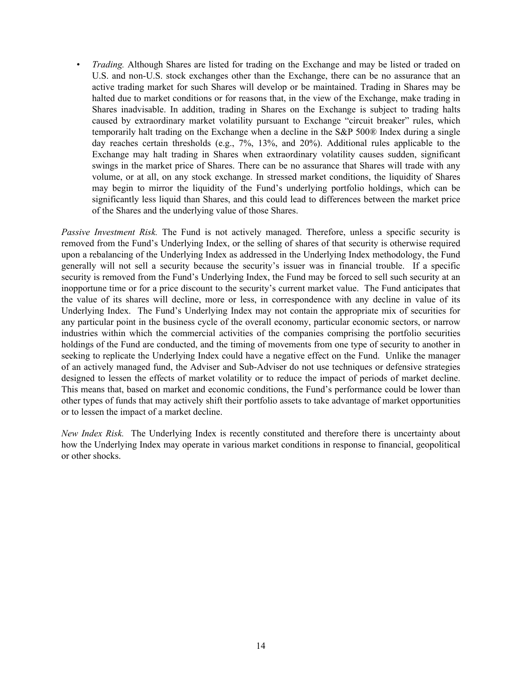• *Trading.* Although Shares are listed for trading on the Exchange and may be listed or traded on U.S. and non-U.S. stock exchanges other than the Exchange, there can be no assurance that an active trading market for such Shares will develop or be maintained. Trading in Shares may be halted due to market conditions or for reasons that, in the view of the Exchange, make trading in Shares inadvisable. In addition, trading in Shares on the Exchange is subject to trading halts caused by extraordinary market volatility pursuant to Exchange "circuit breaker" rules, which temporarily halt trading on the Exchange when a decline in the S&P 500® Index during a single day reaches certain thresholds (e.g., 7%, 13%, and 20%). Additional rules applicable to the Exchange may halt trading in Shares when extraordinary volatility causes sudden, significant swings in the market price of Shares. There can be no assurance that Shares will trade with any volume, or at all, on any stock exchange. In stressed market conditions, the liquidity of Shares may begin to mirror the liquidity of the Fund's underlying portfolio holdings, which can be significantly less liquid than Shares, and this could lead to differences between the market price of the Shares and the underlying value of those Shares.

*Passive Investment Risk.* The Fund is not actively managed. Therefore, unless a specific security is removed from the Fund's Underlying Index, or the selling of shares of that security is otherwise required upon a rebalancing of the Underlying Index as addressed in the Underlying Index methodology, the Fund generally will not sell a security because the security's issuer was in financial trouble. If a specific security is removed from the Fund's Underlying Index, the Fund may be forced to sell such security at an inopportune time or for a price discount to the security's current market value. The Fund anticipates that the value of its shares will decline, more or less, in correspondence with any decline in value of its Underlying Index. The Fund's Underlying Index may not contain the appropriate mix of securities for any particular point in the business cycle of the overall economy, particular economic sectors, or narrow industries within which the commercial activities of the companies comprising the portfolio securities holdings of the Fund are conducted, and the timing of movements from one type of security to another in seeking to replicate the Underlying Index could have a negative effect on the Fund. Unlike the manager of an actively managed fund, the Adviser and Sub-Adviser do not use techniques or defensive strategies designed to lessen the effects of market volatility or to reduce the impact of periods of market decline. This means that, based on market and economic conditions, the Fund's performance could be lower than other types of funds that may actively shift their portfolio assets to take advantage of market opportunities or to lessen the impact of a market decline.

*New Index Risk.* The Underlying Index is recently constituted and therefore there is uncertainty about how the Underlying Index may operate in various market conditions in response to financial, geopolitical or other shocks.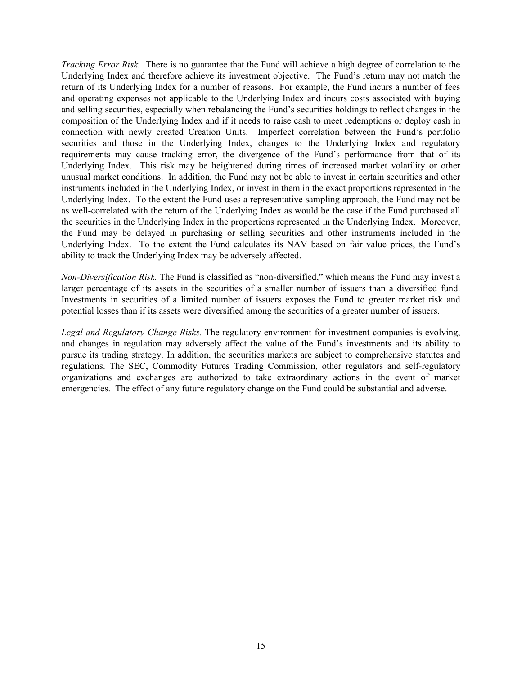*Tracking Error Risk.* There is no guarantee that the Fund will achieve a high degree of correlation to the Underlying Index and therefore achieve its investment objective. The Fund's return may not match the return of its Underlying Index for a number of reasons. For example, the Fund incurs a number of fees and operating expenses not applicable to the Underlying Index and incurs costs associated with buying and selling securities, especially when rebalancing the Fund's securities holdings to reflect changes in the composition of the Underlying Index and if it needs to raise cash to meet redemptions or deploy cash in connection with newly created Creation Units. Imperfect correlation between the Fund's portfolio securities and those in the Underlying Index, changes to the Underlying Index and regulatory requirements may cause tracking error, the divergence of the Fund's performance from that of its Underlying Index. This risk may be heightened during times of increased market volatility or other unusual market conditions. In addition, the Fund may not be able to invest in certain securities and other instruments included in the Underlying Index, or invest in them in the exact proportions represented in the Underlying Index. To the extent the Fund uses a representative sampling approach, the Fund may not be as well-correlated with the return of the Underlying Index as would be the case if the Fund purchased all the securities in the Underlying Index in the proportions represented in the Underlying Index. Moreover, the Fund may be delayed in purchasing or selling securities and other instruments included in the Underlying Index. To the extent the Fund calculates its NAV based on fair value prices, the Fund's ability to track the Underlying Index may be adversely affected.

*Non-Diversification Risk.* The Fund is classified as "non-diversified," which means the Fund may invest a larger percentage of its assets in the securities of a smaller number of issuers than a diversified fund. Investments in securities of a limited number of issuers exposes the Fund to greater market risk and potential losses than if its assets were diversified among the securities of a greater number of issuers.

*Legal and Regulatory Change Risks.* The regulatory environment for investment companies is evolving, and changes in regulation may adversely affect the value of the Fund's investments and its ability to pursue its trading strategy. In addition, the securities markets are subject to comprehensive statutes and regulations. The SEC, Commodity Futures Trading Commission, other regulators and self-regulatory organizations and exchanges are authorized to take extraordinary actions in the event of market emergencies. The effect of any future regulatory change on the Fund could be substantial and adverse.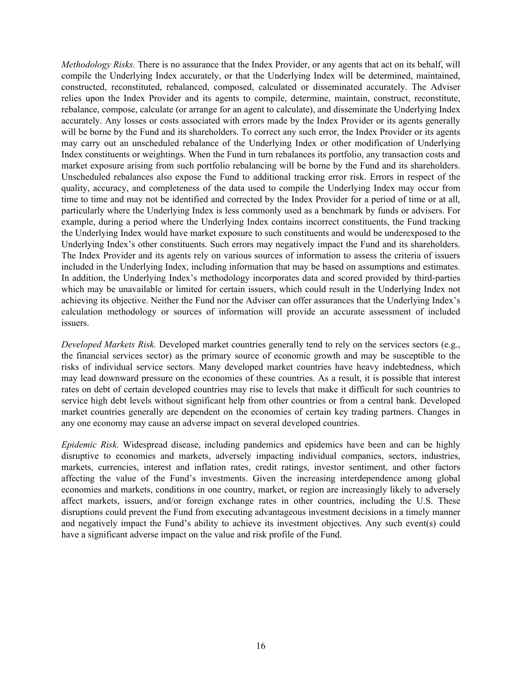*Methodology Risks.* There is no assurance that the Index Provider, or any agents that act on its behalf, will compile the Underlying Index accurately, or that the Underlying Index will be determined, maintained, constructed, reconstituted, rebalanced, composed, calculated or disseminated accurately. The Adviser relies upon the Index Provider and its agents to compile, determine, maintain, construct, reconstitute, rebalance, compose, calculate (or arrange for an agent to calculate), and disseminate the Underlying Index accurately. Any losses or costs associated with errors made by the Index Provider or its agents generally will be borne by the Fund and its shareholders. To correct any such error, the Index Provider or its agents may carry out an unscheduled rebalance of the Underlying Index or other modification of Underlying Index constituents or weightings. When the Fund in turn rebalances its portfolio, any transaction costs and market exposure arising from such portfolio rebalancing will be borne by the Fund and its shareholders. Unscheduled rebalances also expose the Fund to additional tracking error risk. Errors in respect of the quality, accuracy, and completeness of the data used to compile the Underlying Index may occur from time to time and may not be identified and corrected by the Index Provider for a period of time or at all, particularly where the Underlying Index is less commonly used as a benchmark by funds or advisers. For example, during a period where the Underlying Index contains incorrect constituents, the Fund tracking the Underlying Index would have market exposure to such constituents and would be underexposed to the Underlying Index's other constituents. Such errors may negatively impact the Fund and its shareholders. The Index Provider and its agents rely on various sources of information to assess the criteria of issuers included in the Underlying Index, including information that may be based on assumptions and estimates. In addition, the Underlying Index's methodology incorporates data and scored provided by third-parties which may be unavailable or limited for certain issuers, which could result in the Underlying Index not achieving its objective. Neither the Fund nor the Adviser can offer assurances that the Underlying Index's calculation methodology or sources of information will provide an accurate assessment of included issuers.

*Developed Markets Risk.* Developed market countries generally tend to rely on the services sectors (e.g., the financial services sector) as the primary source of economic growth and may be susceptible to the risks of individual service sectors. Many developed market countries have heavy indebtedness, which may lead downward pressure on the economies of these countries. As a result, it is possible that interest rates on debt of certain developed countries may rise to levels that make it difficult for such countries to service high debt levels without significant help from other countries or from a central bank. Developed market countries generally are dependent on the economies of certain key trading partners. Changes in any one economy may cause an adverse impact on several developed countries.

*Epidemic Risk.* Widespread disease, including pandemics and epidemics have been and can be highly disruptive to economies and markets, adversely impacting individual companies, sectors, industries, markets, currencies, interest and inflation rates, credit ratings, investor sentiment, and other factors affecting the value of the Fund's investments. Given the increasing interdependence among global economies and markets, conditions in one country, market, or region are increasingly likely to adversely affect markets, issuers, and/or foreign exchange rates in other countries, including the U.S. These disruptions could prevent the Fund from executing advantageous investment decisions in a timely manner and negatively impact the Fund's ability to achieve its investment objectives. Any such event(s) could have a significant adverse impact on the value and risk profile of the Fund.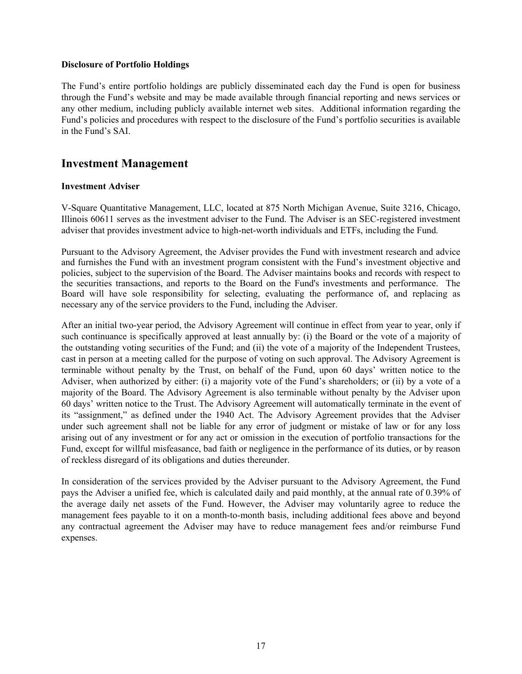#### **Disclosure of Portfolio Holdings**

The Fund's entire portfolio holdings are publicly disseminated each day the Fund is open for business through the Fund's website and may be made available through financial reporting and news services or any other medium, including publicly available internet web sites. Additional information regarding the Fund's policies and procedures with respect to the disclosure of the Fund's portfolio securities is available in the Fund's SAI.

# **Investment Management**

#### **Investment Adviser**

V-Square Quantitative Management, LLC, located at 875 North Michigan Avenue, Suite 3216, Chicago, Illinois 60611 serves as the investment adviser to the Fund. The Adviser is an SEC-registered investment adviser that provides investment advice to high-net-worth individuals and ETFs, including the Fund.

Pursuant to the Advisory Agreement, the Adviser provides the Fund with investment research and advice and furnishes the Fund with an investment program consistent with the Fund's investment objective and policies, subject to the supervision of the Board. The Adviser maintains books and records with respect to the securities transactions, and reports to the Board on the Fund's investments and performance. The Board will have sole responsibility for selecting, evaluating the performance of, and replacing as necessary any of the service providers to the Fund, including the Adviser.

After an initial two-year period, the Advisory Agreement will continue in effect from year to year, only if such continuance is specifically approved at least annually by: (i) the Board or the vote of a majority of the outstanding voting securities of the Fund; and (ii) the vote of a majority of the Independent Trustees, cast in person at a meeting called for the purpose of voting on such approval. The Advisory Agreement is terminable without penalty by the Trust, on behalf of the Fund, upon 60 days' written notice to the Adviser, when authorized by either: (i) a majority vote of the Fund's shareholders; or (ii) by a vote of a majority of the Board. The Advisory Agreement is also terminable without penalty by the Adviser upon 60 days' written notice to the Trust. The Advisory Agreement will automatically terminate in the event of its "assignment," as defined under the 1940 Act. The Advisory Agreement provides that the Adviser under such agreement shall not be liable for any error of judgment or mistake of law or for any loss arising out of any investment or for any act or omission in the execution of portfolio transactions for the Fund, except for willful misfeasance, bad faith or negligence in the performance of its duties, or by reason of reckless disregard of its obligations and duties thereunder.

In consideration of the services provided by the Adviser pursuant to the Advisory Agreement, the Fund pays the Adviser a unified fee, which is calculated daily and paid monthly, at the annual rate of 0.39% of the average daily net assets of the Fund. However, the Adviser may voluntarily agree to reduce the management fees payable to it on a month-to-month basis, including additional fees above and beyond any contractual agreement the Adviser may have to reduce management fees and/or reimburse Fund expenses.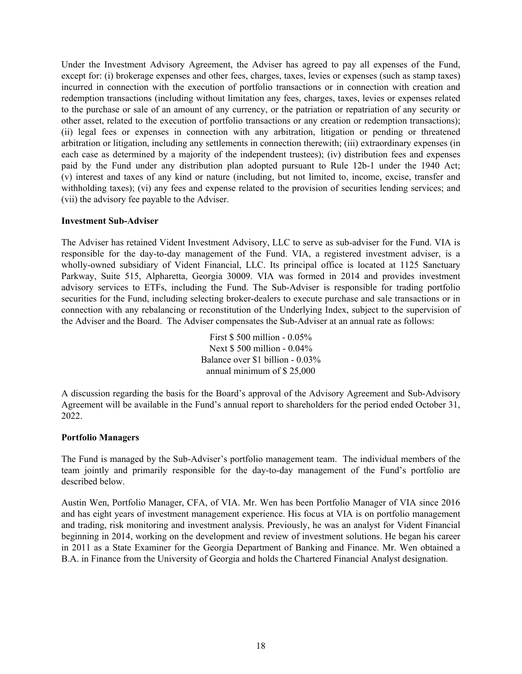Under the Investment Advisory Agreement, the Adviser has agreed to pay all expenses of the Fund, except for: (i) brokerage expenses and other fees, charges, taxes, levies or expenses (such as stamp taxes) incurred in connection with the execution of portfolio transactions or in connection with creation and redemption transactions (including without limitation any fees, charges, taxes, levies or expenses related to the purchase or sale of an amount of any currency, or the patriation or repatriation of any security or other asset, related to the execution of portfolio transactions or any creation or redemption transactions); (ii) legal fees or expenses in connection with any arbitration, litigation or pending or threatened arbitration or litigation, including any settlements in connection therewith; (iii) extraordinary expenses (in each case as determined by a majority of the independent trustees); (iv) distribution fees and expenses paid by the Fund under any distribution plan adopted pursuant to Rule 12b-1 under the 1940 Act; (v) interest and taxes of any kind or nature (including, but not limited to, income, excise, transfer and withholding taxes); (vi) any fees and expense related to the provision of securities lending services; and (vii) the advisory fee payable to the Adviser.

#### **Investment Sub-Adviser**

The Adviser has retained Vident Investment Advisory, LLC to serve as sub-adviser for the Fund. VIA is responsible for the day-to-day management of the Fund. VIA, a registered investment adviser, is a wholly-owned subsidiary of Vident Financial, LLC. Its principal office is located at 1125 Sanctuary Parkway, Suite 515, Alpharetta, Georgia 30009. VIA was formed in 2014 and provides investment advisory services to ETFs, including the Fund. The Sub-Adviser is responsible for trading portfolio securities for the Fund, including selecting broker-dealers to execute purchase and sale transactions or in connection with any rebalancing or reconstitution of the Underlying Index, subject to the supervision of the Adviser and the Board. The Adviser compensates the Sub-Adviser at an annual rate as follows:

> First \$ 500 million - 0.05% Next \$ 500 million - 0.04% Balance over \$1 billion - 0.03% annual minimum of \$ 25,000

A discussion regarding the basis for the Board's approval of the Advisory Agreement and Sub-Advisory Agreement will be available in the Fund's annual report to shareholders for the period ended October 31, 2022.

#### **Portfolio Managers**

The Fund is managed by the Sub-Adviser's portfolio management team. The individual members of the team jointly and primarily responsible for the day-to-day management of the Fund's portfolio are described below.

Austin Wen, Portfolio Manager, CFA, of VIA. Mr. Wen has been Portfolio Manager of VIA since 2016 and has eight years of investment management experience. His focus at VIA is on portfolio management and trading, risk monitoring and investment analysis. Previously, he was an analyst for Vident Financial beginning in 2014, working on the development and review of investment solutions. He began his career in 2011 as a State Examiner for the Georgia Department of Banking and Finance. Mr. Wen obtained a B.A. in Finance from the University of Georgia and holds the Chartered Financial Analyst designation.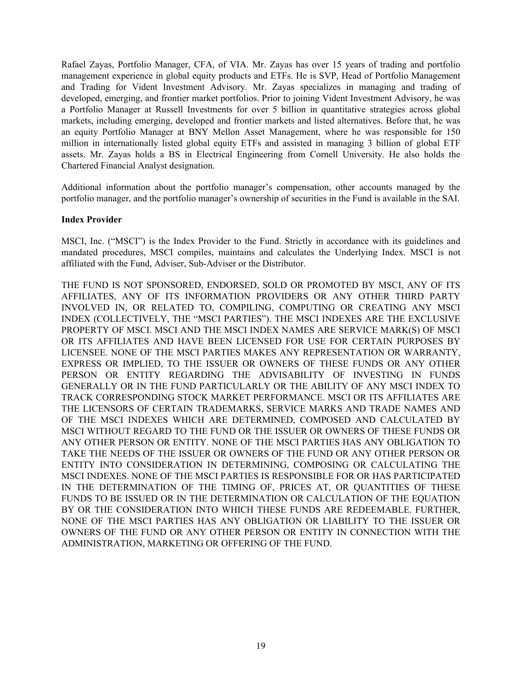Rafael Zayas, Portfolio Manager, CFA, of VIA. Mr. Zayas has over 15 years of trading and portfolio management experience in global equity products and ETFs. He is SVP, Head of Portfolio Management and Trading for Vident Investment Advisory. Mr. Zayas specializes in managing and trading of developed, emerging, and frontier market portfolios. Prior to joining Vident Investment Advisory, he was a Portfolio Manager at Russell Investments for over 5 billion in quantitative strategies across global markets, including emerging, developed and frontier markets and listed alternatives. Before that, he was an equity Portfolio Manager at BNY Mellon Asset Management, where he was responsible for 150 million in internationally listed global equity ETFs and assisted in managing 3 billion of global ETF assets. Mr. Zayas holds a BS in Electrical Engineering from Cornell University. He also holds the Chartered Financial Analyst designation.

Additional information about the portfolio manager's compensation, other accounts managed by the portfolio manager, and the portfolio manager's ownership of securities in the Fund is available in the SAI.

#### **Index Provider**

MSCI, Inc. ("MSCI") is the Index Provider to the Fund. Strictly in accordance with its guidelines and mandated procedures, MSCI compiles, maintains and calculates the Underlying Index. MSCI is not affiliated with the Fund, Adviser, Sub-Adviser or the Distributor.

THE FUND IS NOT SPONSORED, ENDORSED, SOLD OR PROMOTED BY MSCI, ANY OF ITS AFFILIATES, ANY OF ITS INFORMATION PROVIDERS OR ANY OTHER THIRD PARTY INVOLVED IN, OR RELATED TO, COMPILING, COMPUTING OR CREATING ANY MSCI INDEX (COLLECTIVELY, THE "MSCI PARTIES"). THE MSCI INDEXES ARE THE EXCLUSIVE PROPERTY OF MSCI. MSCI AND THE MSCI INDEX NAMES ARE SERVICE MARK(S) OF MSCI OR ITS AFFILIATES AND HAVE BEEN LICENSED FOR USE FOR CERTAIN PURPOSES BY LICENSEE. NONE OF THE MSCI PARTIES MAKES ANY REPRESENTATION OR WARRANTY, EXPRESS OR IMPLIED, TO THE ISSUER OR OWNERS OF THESE FUNDS OR ANY OTHER PERSON OR ENTITY REGARDING THE ADVISABILITY OF INVESTING IN FUNDS GENERALLY OR IN THE FUND PARTICULARLY OR THE ABILITY OF ANY MSCI INDEX TO TRACK CORRESPONDING STOCK MARKET PERFORMANCE. MSCI OR ITS AFFILIATES ARE THE LICENSORS OF CERTAIN TRADEMARKS, SERVICE MARKS AND TRADE NAMES AND OF THE MSCI INDEXES WHICH ARE DETERMINED, COMPOSED AND CALCULATED BY MSCI WITHOUT REGARD TO THE FUND OR THE ISSUER OR OWNERS OF THESE FUNDS OR ANY OTHER PERSON OR ENTITY. NONE OF THE MSCI PARTIES HAS ANY OBLIGATION TO TAKE THE NEEDS OF THE ISSUER OR OWNERS OF THE FUND OR ANY OTHER PERSON OR ENTITY INTO CONSIDERATION IN DETERMINING, COMPOSING OR CALCULATING THE MSCI INDEXES. NONE OF THE MSCI PARTIES IS RESPONSIBLE FOR OR HAS PARTICIPATED IN THE DETERMINATION OF THE TIMING OF, PRICES AT, OR QUANTITIES OF THESE FUNDS TO BE ISSUED OR IN THE DETERMINATION OR CALCULATION OF THE EQUATION BY OR THE CONSIDERATION INTO WHICH THESE FUNDS ARE REDEEMABLE. FURTHER, NONE OF THE MSCI PARTIES HAS ANY OBLIGATION OR LIABILITY TO THE ISSUER OR OWNERS OF THE FUND OR ANY OTHER PERSON OR ENTITY IN CONNECTION WITH THE ADMINISTRATION, MARKETING OR OFFERING OF THE FUND.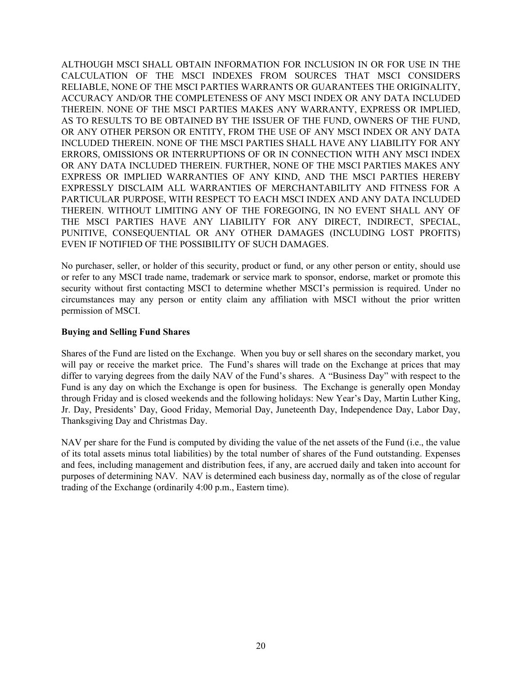ALTHOUGH MSCI SHALL OBTAIN INFORMATION FOR INCLUSION IN OR FOR USE IN THE CALCULATION OF THE MSCI INDEXES FROM SOURCES THAT MSCI CONSIDERS RELIABLE, NONE OF THE MSCI PARTIES WARRANTS OR GUARANTEES THE ORIGINALITY, ACCURACY AND/OR THE COMPLETENESS OF ANY MSCI INDEX OR ANY DATA INCLUDED THEREIN. NONE OF THE MSCI PARTIES MAKES ANY WARRANTY, EXPRESS OR IMPLIED, AS TO RESULTS TO BE OBTAINED BY THE ISSUER OF THE FUND, OWNERS OF THE FUND, OR ANY OTHER PERSON OR ENTITY, FROM THE USE OF ANY MSCI INDEX OR ANY DATA INCLUDED THEREIN. NONE OF THE MSCI PARTIES SHALL HAVE ANY LIABILITY FOR ANY ERRORS, OMISSIONS OR INTERRUPTIONS OF OR IN CONNECTION WITH ANY MSCI INDEX OR ANY DATA INCLUDED THEREIN. FURTHER, NONE OF THE MSCI PARTIES MAKES ANY EXPRESS OR IMPLIED WARRANTIES OF ANY KIND, AND THE MSCI PARTIES HEREBY EXPRESSLY DISCLAIM ALL WARRANTIES OF MERCHANTABILITY AND FITNESS FOR A PARTICULAR PURPOSE, WITH RESPECT TO EACH MSCI INDEX AND ANY DATA INCLUDED THEREIN. WITHOUT LIMITING ANY OF THE FOREGOING, IN NO EVENT SHALL ANY OF THE MSCI PARTIES HAVE ANY LIABILITY FOR ANY DIRECT, INDIRECT, SPECIAL, PUNITIVE, CONSEQUENTIAL OR ANY OTHER DAMAGES (INCLUDING LOST PROFITS) EVEN IF NOTIFIED OF THE POSSIBILITY OF SUCH DAMAGES.

No purchaser, seller, or holder of this security, product or fund, or any other person or entity, should use or refer to any MSCI trade name, trademark or service mark to sponsor, endorse, market or promote this security without first contacting MSCI to determine whether MSCI's permission is required. Under no circumstances may any person or entity claim any affiliation with MSCI without the prior written permission of MSCI.

#### **Buying and Selling Fund Shares**

Shares of the Fund are listed on the Exchange. When you buy or sell shares on the secondary market, you will pay or receive the market price. The Fund's shares will trade on the Exchange at prices that may differ to varying degrees from the daily NAV of the Fund's shares. A "Business Day" with respect to the Fund is any day on which the Exchange is open for business. The Exchange is generally open Monday through Friday and is closed weekends and the following holidays: New Year's Day, Martin Luther King, Jr. Day, Presidents' Day, Good Friday, Memorial Day, Juneteenth Day, Independence Day, Labor Day, Thanksgiving Day and Christmas Day.

NAV per share for the Fund is computed by dividing the value of the net assets of the Fund (i.e., the value of its total assets minus total liabilities) by the total number of shares of the Fund outstanding. Expenses and fees, including management and distribution fees, if any, are accrued daily and taken into account for purposes of determining NAV. NAV is determined each business day, normally as of the close of regular trading of the Exchange (ordinarily 4:00 p.m., Eastern time).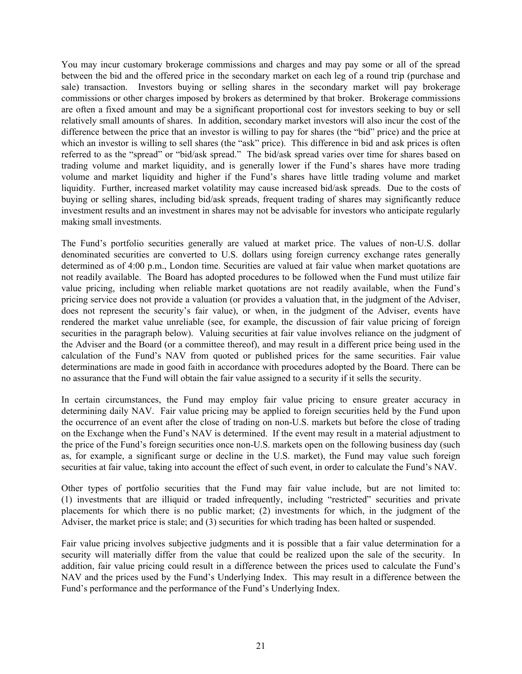You may incur customary brokerage commissions and charges and may pay some or all of the spread between the bid and the offered price in the secondary market on each leg of a round trip (purchase and sale) transaction. Investors buying or selling shares in the secondary market will pay brokerage commissions or other charges imposed by brokers as determined by that broker. Brokerage commissions are often a fixed amount and may be a significant proportional cost for investors seeking to buy or sell relatively small amounts of shares. In addition, secondary market investors will also incur the cost of the difference between the price that an investor is willing to pay for shares (the "bid" price) and the price at which an investor is willing to sell shares (the "ask" price). This difference in bid and ask prices is often referred to as the "spread" or "bid/ask spread." The bid/ask spread varies over time for shares based on trading volume and market liquidity, and is generally lower if the Fund's shares have more trading volume and market liquidity and higher if the Fund's shares have little trading volume and market liquidity. Further, increased market volatility may cause increased bid/ask spreads. Due to the costs of buying or selling shares, including bid/ask spreads, frequent trading of shares may significantly reduce investment results and an investment in shares may not be advisable for investors who anticipate regularly making small investments.

The Fund's portfolio securities generally are valued at market price. The values of non-U.S. dollar denominated securities are converted to U.S. dollars using foreign currency exchange rates generally determined as of 4:00 p.m., London time. Securities are valued at fair value when market quotations are not readily available. The Board has adopted procedures to be followed when the Fund must utilize fair value pricing, including when reliable market quotations are not readily available, when the Fund's pricing service does not provide a valuation (or provides a valuation that, in the judgment of the Adviser, does not represent the security's fair value), or when, in the judgment of the Adviser, events have rendered the market value unreliable (see, for example, the discussion of fair value pricing of foreign securities in the paragraph below). Valuing securities at fair value involves reliance on the judgment of the Adviser and the Board (or a committee thereof), and may result in a different price being used in the calculation of the Fund's NAV from quoted or published prices for the same securities. Fair value determinations are made in good faith in accordance with procedures adopted by the Board. There can be no assurance that the Fund will obtain the fair value assigned to a security if it sells the security.

In certain circumstances, the Fund may employ fair value pricing to ensure greater accuracy in determining daily NAV. Fair value pricing may be applied to foreign securities held by the Fund upon the occurrence of an event after the close of trading on non-U.S. markets but before the close of trading on the Exchange when the Fund's NAV is determined. If the event may result in a material adjustment to the price of the Fund's foreign securities once non-U.S. markets open on the following business day (such as, for example, a significant surge or decline in the U.S. market), the Fund may value such foreign securities at fair value, taking into account the effect of such event, in order to calculate the Fund's NAV.

Other types of portfolio securities that the Fund may fair value include, but are not limited to: (1) investments that are illiquid or traded infrequently, including "restricted" securities and private placements for which there is no public market; (2) investments for which, in the judgment of the Adviser, the market price is stale; and (3) securities for which trading has been halted or suspended.

Fair value pricing involves subjective judgments and it is possible that a fair value determination for a security will materially differ from the value that could be realized upon the sale of the security. In addition, fair value pricing could result in a difference between the prices used to calculate the Fund's NAV and the prices used by the Fund's Underlying Index. This may result in a difference between the Fund's performance and the performance of the Fund's Underlying Index.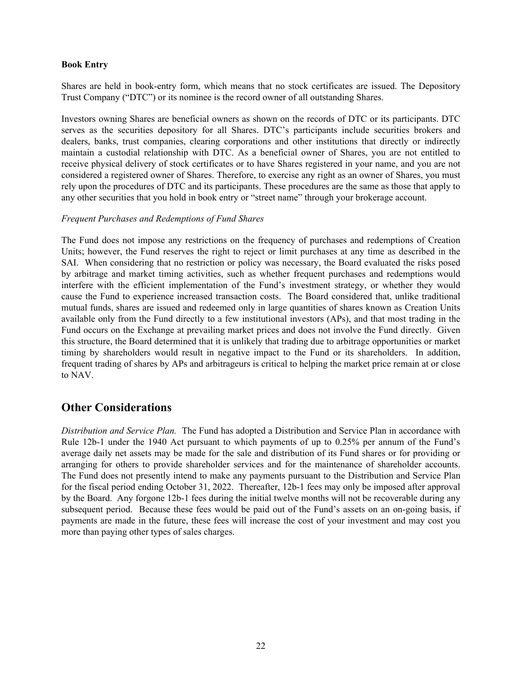#### **Book Entry**

Shares are held in book-entry form, which means that no stock certificates are issued. The Depository Trust Company ("DTC") or its nominee is the record owner of all outstanding Shares.

Investors owning Shares are beneficial owners as shown on the records of DTC or its participants. DTC serves as the securities depository for all Shares. DTC's participants include securities brokers and dealers, banks, trust companies, clearing corporations and other institutions that directly or indirectly maintain a custodial relationship with DTC. As a beneficial owner of Shares, you are not entitled to receive physical delivery of stock certificates or to have Shares registered in your name, and you are not considered a registered owner of Shares. Therefore, to exercise any right as an owner of Shares, you must rely upon the procedures of DTC and its participants. These procedures are the same as those that apply to any other securities that you hold in book entry or "street name" through your brokerage account.

#### *Frequent Purchases and Redemptions of Fund Shares*

The Fund does not impose any restrictions on the frequency of purchases and redemptions of Creation Units; however, the Fund reserves the right to reject or limit purchases at any time as described in the SAI. When considering that no restriction or policy was necessary, the Board evaluated the risks posed by arbitrage and market timing activities, such as whether frequent purchases and redemptions would interfere with the efficient implementation of the Fund's investment strategy, or whether they would cause the Fund to experience increased transaction costs. The Board considered that, unlike traditional mutual funds, shares are issued and redeemed only in large quantities of shares known as Creation Units available only from the Fund directly to a few institutional investors (APs), and that most trading in the Fund occurs on the Exchange at prevailing market prices and does not involve the Fund directly. Given this structure, the Board determined that it is unlikely that trading due to arbitrage opportunities or market timing by shareholders would result in negative impact to the Fund or its shareholders. In addition, frequent trading of shares by APs and arbitrageurs is critical to helping the market price remain at or close to NAV.

# **Other Considerations**

*Distribution and Service Plan.* The Fund has adopted a Distribution and Service Plan in accordance with Rule 12b-1 under the 1940 Act pursuant to which payments of up to 0.25% per annum of the Fund's average daily net assets may be made for the sale and distribution of its Fund shares or for providing or arranging for others to provide shareholder services and for the maintenance of shareholder accounts. The Fund does not presently intend to make any payments pursuant to the Distribution and Service Plan for the fiscal period ending October 31, 2022. Thereafter, 12b-1 fees may only be imposed after approval by the Board. Any forgone 12b-1 fees during the initial twelve months will not be recoverable during any subsequent period. Because these fees would be paid out of the Fund's assets on an on-going basis, if payments are made in the future, these fees will increase the cost of your investment and may cost you more than paying other types of sales charges.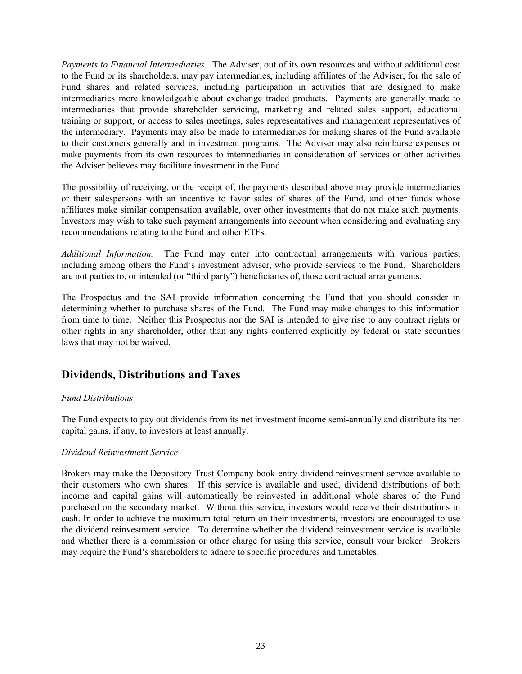*Payments to Financial Intermediaries.* The Adviser, out of its own resources and without additional cost to the Fund or its shareholders, may pay intermediaries, including affiliates of the Adviser, for the sale of Fund shares and related services, including participation in activities that are designed to make intermediaries more knowledgeable about exchange traded products. Payments are generally made to intermediaries that provide shareholder servicing, marketing and related sales support, educational training or support, or access to sales meetings, sales representatives and management representatives of the intermediary. Payments may also be made to intermediaries for making shares of the Fund available to their customers generally and in investment programs. The Adviser may also reimburse expenses or make payments from its own resources to intermediaries in consideration of services or other activities the Adviser believes may facilitate investment in the Fund.

The possibility of receiving, or the receipt of, the payments described above may provide intermediaries or their salespersons with an incentive to favor sales of shares of the Fund, and other funds whose affiliates make similar compensation available, over other investments that do not make such payments. Investors may wish to take such payment arrangements into account when considering and evaluating any recommendations relating to the Fund and other ETFs.

*Additional Information.* The Fund may enter into contractual arrangements with various parties, including among others the Fund's investment adviser, who provide services to the Fund. Shareholders are not parties to, or intended (or "third party") beneficiaries of, those contractual arrangements.

The Prospectus and the SAI provide information concerning the Fund that you should consider in determining whether to purchase shares of the Fund. The Fund may make changes to this information from time to time. Neither this Prospectus nor the SAI is intended to give rise to any contract rights or other rights in any shareholder, other than any rights conferred explicitly by federal or state securities laws that may not be waived.

# **Dividends, Distributions and Taxes**

## *Fund Distributions*

The Fund expects to pay out dividends from its net investment income semi-annually and distribute its net capital gains, if any, to investors at least annually.

#### *Dividend Reinvestment Service*

Brokers may make the Depository Trust Company book-entry dividend reinvestment service available to their customers who own shares. If this service is available and used, dividend distributions of both income and capital gains will automatically be reinvested in additional whole shares of the Fund purchased on the secondary market. Without this service, investors would receive their distributions in cash. In order to achieve the maximum total return on their investments, investors are encouraged to use the dividend reinvestment service. To determine whether the dividend reinvestment service is available and whether there is a commission or other charge for using this service, consult your broker. Brokers may require the Fund's shareholders to adhere to specific procedures and timetables.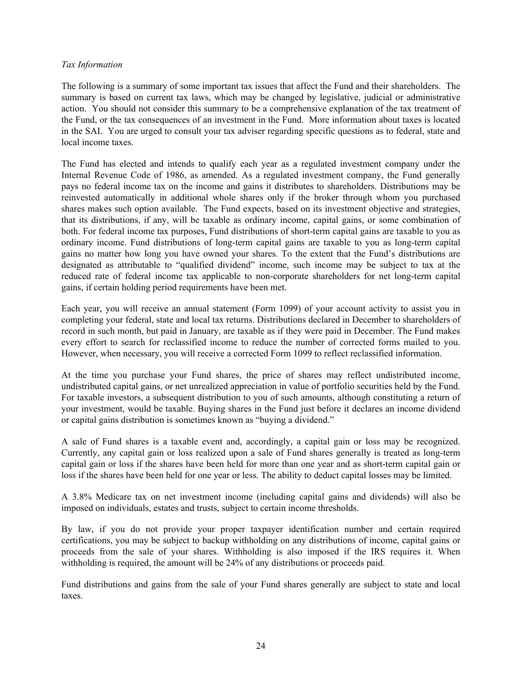#### *Tax Information*

The following is a summary of some important tax issues that affect the Fund and their shareholders. The summary is based on current tax laws, which may be changed by legislative, judicial or administrative action. You should not consider this summary to be a comprehensive explanation of the tax treatment of the Fund, or the tax consequences of an investment in the Fund. More information about taxes is located in the SAI. You are urged to consult your tax adviser regarding specific questions as to federal, state and local income taxes.

The Fund has elected and intends to qualify each year as a regulated investment company under the Internal Revenue Code of 1986, as amended. As a regulated investment company, the Fund generally pays no federal income tax on the income and gains it distributes to shareholders. Distributions may be reinvested automatically in additional whole shares only if the broker through whom you purchased shares makes such option available. The Fund expects, based on its investment objective and strategies, that its distributions, if any, will be taxable as ordinary income, capital gains, or some combination of both. For federal income tax purposes, Fund distributions of short-term capital gains are taxable to you as ordinary income. Fund distributions of long-term capital gains are taxable to you as long-term capital gains no matter how long you have owned your shares. To the extent that the Fund's distributions are designated as attributable to "qualified dividend" income, such income may be subject to tax at the reduced rate of federal income tax applicable to non-corporate shareholders for net long-term capital gains, if certain holding period requirements have been met.

Each year, you will receive an annual statement (Form 1099) of your account activity to assist you in completing your federal, state and local tax returns. Distributions declared in December to shareholders of record in such month, but paid in January, are taxable as if they were paid in December. The Fund makes every effort to search for reclassified income to reduce the number of corrected forms mailed to you. However, when necessary, you will receive a corrected Form 1099 to reflect reclassified information.

At the time you purchase your Fund shares, the price of shares may reflect undistributed income, undistributed capital gains, or net unrealized appreciation in value of portfolio securities held by the Fund. For taxable investors, a subsequent distribution to you of such amounts, although constituting a return of your investment, would be taxable. Buying shares in the Fund just before it declares an income dividend or capital gains distribution is sometimes known as "buying a dividend."

A sale of Fund shares is a taxable event and, accordingly, a capital gain or loss may be recognized. Currently, any capital gain or loss realized upon a sale of Fund shares generally is treated as long-term capital gain or loss if the shares have been held for more than one year and as short-term capital gain or loss if the shares have been held for one year or less. The ability to deduct capital losses may be limited.

A 3.8% Medicare tax on net investment income (including capital gains and dividends) will also be imposed on individuals, estates and trusts, subject to certain income thresholds.

By law, if you do not provide your proper taxpayer identification number and certain required certifications, you may be subject to backup withholding on any distributions of income, capital gains or proceeds from the sale of your shares. Withholding is also imposed if the IRS requires it. When withholding is required, the amount will be 24% of any distributions or proceeds paid.

Fund distributions and gains from the sale of your Fund shares generally are subject to state and local taxes.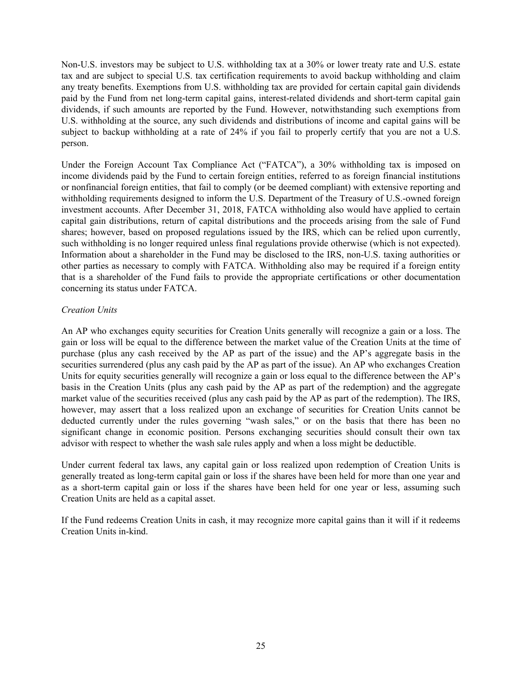Non-U.S. investors may be subject to U.S. withholding tax at a 30% or lower treaty rate and U.S. estate tax and are subject to special U.S. tax certification requirements to avoid backup withholding and claim any treaty benefits. Exemptions from U.S. withholding tax are provided for certain capital gain dividends paid by the Fund from net long-term capital gains, interest-related dividends and short-term capital gain dividends, if such amounts are reported by the Fund. However, notwithstanding such exemptions from U.S. withholding at the source, any such dividends and distributions of income and capital gains will be subject to backup withholding at a rate of 24% if you fail to properly certify that you are not a U.S. person.

Under the Foreign Account Tax Compliance Act ("FATCA"), a 30% withholding tax is imposed on income dividends paid by the Fund to certain foreign entities, referred to as foreign financial institutions or nonfinancial foreign entities, that fail to comply (or be deemed compliant) with extensive reporting and withholding requirements designed to inform the U.S. Department of the Treasury of U.S.-owned foreign investment accounts. After December 31, 2018, FATCA withholding also would have applied to certain capital gain distributions, return of capital distributions and the proceeds arising from the sale of Fund shares; however, based on proposed regulations issued by the IRS, which can be relied upon currently, such withholding is no longer required unless final regulations provide otherwise (which is not expected). Information about a shareholder in the Fund may be disclosed to the IRS, non-U.S. taxing authorities or other parties as necessary to comply with FATCA. Withholding also may be required if a foreign entity that is a shareholder of the Fund fails to provide the appropriate certifications or other documentation concerning its status under FATCA.

### *Creation Units*

An AP who exchanges equity securities for Creation Units generally will recognize a gain or a loss. The gain or loss will be equal to the difference between the market value of the Creation Units at the time of purchase (plus any cash received by the AP as part of the issue) and the AP's aggregate basis in the securities surrendered (plus any cash paid by the AP as part of the issue). An AP who exchanges Creation Units for equity securities generally will recognize a gain or loss equal to the difference between the AP's basis in the Creation Units (plus any cash paid by the AP as part of the redemption) and the aggregate market value of the securities received (plus any cash paid by the AP as part of the redemption). The IRS, however, may assert that a loss realized upon an exchange of securities for Creation Units cannot be deducted currently under the rules governing "wash sales," or on the basis that there has been no significant change in economic position. Persons exchanging securities should consult their own tax advisor with respect to whether the wash sale rules apply and when a loss might be deductible.

Under current federal tax laws, any capital gain or loss realized upon redemption of Creation Units is generally treated as long-term capital gain or loss if the shares have been held for more than one year and as a short-term capital gain or loss if the shares have been held for one year or less, assuming such Creation Units are held as a capital asset.

If the Fund redeems Creation Units in cash, it may recognize more capital gains than it will if it redeems Creation Units in-kind.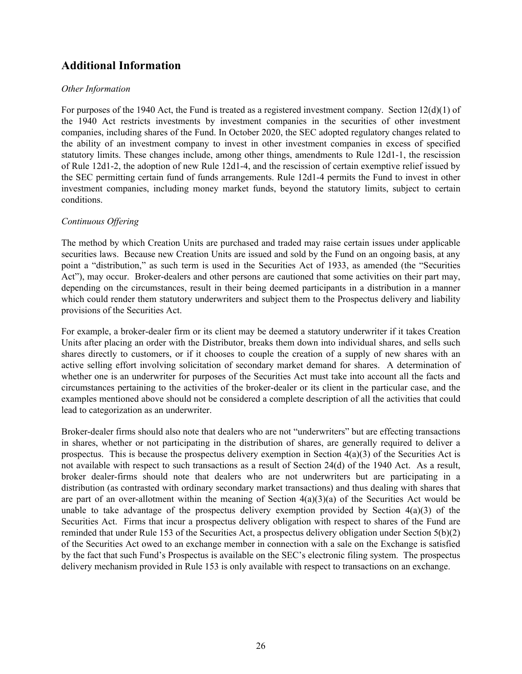# **Additional Information**

#### *Other Information*

For purposes of the 1940 Act, the Fund is treated as a registered investment company. Section 12(d)(1) of the 1940 Act restricts investments by investment companies in the securities of other investment companies, including shares of the Fund. In October 2020, the SEC adopted regulatory changes related to the ability of an investment company to invest in other investment companies in excess of specified statutory limits. These changes include, among other things, amendments to Rule 12d1-1, the rescission of Rule 12d1-2, the adoption of new Rule 12d1-4, and the rescission of certain exemptive relief issued by the SEC permitting certain fund of funds arrangements. Rule 12d1-4 permits the Fund to invest in other investment companies, including money market funds, beyond the statutory limits, subject to certain conditions.

#### *Continuous Offering*

The method by which Creation Units are purchased and traded may raise certain issues under applicable securities laws. Because new Creation Units are issued and sold by the Fund on an ongoing basis, at any point a "distribution," as such term is used in the Securities Act of 1933, as amended (the "Securities Act"), may occur. Broker-dealers and other persons are cautioned that some activities on their part may, depending on the circumstances, result in their being deemed participants in a distribution in a manner which could render them statutory underwriters and subject them to the Prospectus delivery and liability provisions of the Securities Act.

For example, a broker-dealer firm or its client may be deemed a statutory underwriter if it takes Creation Units after placing an order with the Distributor, breaks them down into individual shares, and sells such shares directly to customers, or if it chooses to couple the creation of a supply of new shares with an active selling effort involving solicitation of secondary market demand for shares. A determination of whether one is an underwriter for purposes of the Securities Act must take into account all the facts and circumstances pertaining to the activities of the broker-dealer or its client in the particular case, and the examples mentioned above should not be considered a complete description of all the activities that could lead to categorization as an underwriter.

Broker-dealer firms should also note that dealers who are not "underwriters" but are effecting transactions in shares, whether or not participating in the distribution of shares, are generally required to deliver a prospectus. This is because the prospectus delivery exemption in Section 4(a)(3) of the Securities Act is not available with respect to such transactions as a result of Section 24(d) of the 1940 Act. As a result, broker dealer-firms should note that dealers who are not underwriters but are participating in a distribution (as contrasted with ordinary secondary market transactions) and thus dealing with shares that are part of an over-allotment within the meaning of Section  $4(a)(3)(a)$  of the Securities Act would be unable to take advantage of the prospectus delivery exemption provided by Section  $4(a)(3)$  of the Securities Act. Firms that incur a prospectus delivery obligation with respect to shares of the Fund are reminded that under Rule 153 of the Securities Act, a prospectus delivery obligation under Section 5(b)(2) of the Securities Act owed to an exchange member in connection with a sale on the Exchange is satisfied by the fact that such Fund's Prospectus is available on the SEC's electronic filing system. The prospectus delivery mechanism provided in Rule 153 is only available with respect to transactions on an exchange.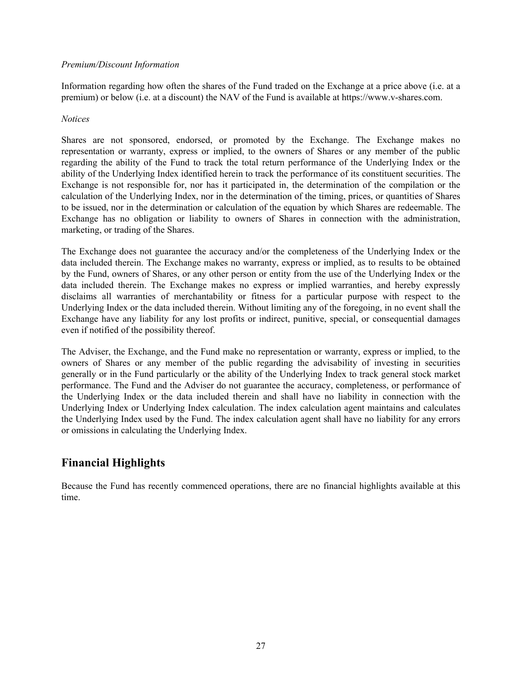### *Premium/Discount Information*

Information regarding how often the shares of the Fund traded on the Exchange at a price above (i.e. at a premium) or below (i.e. at a discount) the NAV of the Fund is available at https://www.v-shares.com.

#### *Notices*

Shares are not sponsored, endorsed, or promoted by the Exchange. The Exchange makes no representation or warranty, express or implied, to the owners of Shares or any member of the public regarding the ability of the Fund to track the total return performance of the Underlying Index or the ability of the Underlying Index identified herein to track the performance of its constituent securities. The Exchange is not responsible for, nor has it participated in, the determination of the compilation or the calculation of the Underlying Index, nor in the determination of the timing, prices, or quantities of Shares to be issued, nor in the determination or calculation of the equation by which Shares are redeemable. The Exchange has no obligation or liability to owners of Shares in connection with the administration, marketing, or trading of the Shares.

The Exchange does not guarantee the accuracy and/or the completeness of the Underlying Index or the data included therein. The Exchange makes no warranty, express or implied, as to results to be obtained by the Fund, owners of Shares, or any other person or entity from the use of the Underlying Index or the data included therein. The Exchange makes no express or implied warranties, and hereby expressly disclaims all warranties of merchantability or fitness for a particular purpose with respect to the Underlying Index or the data included therein. Without limiting any of the foregoing, in no event shall the Exchange have any liability for any lost profits or indirect, punitive, special, or consequential damages even if notified of the possibility thereof.

The Adviser, the Exchange, and the Fund make no representation or warranty, express or implied, to the owners of Shares or any member of the public regarding the advisability of investing in securities generally or in the Fund particularly or the ability of the Underlying Index to track general stock market performance. The Fund and the Adviser do not guarantee the accuracy, completeness, or performance of the Underlying Index or the data included therein and shall have no liability in connection with the Underlying Index or Underlying Index calculation. The index calculation agent maintains and calculates the Underlying Index used by the Fund. The index calculation agent shall have no liability for any errors or omissions in calculating the Underlying Index.

# **Financial Highlights**

Because the Fund has recently commenced operations, there are no financial highlights available at this time.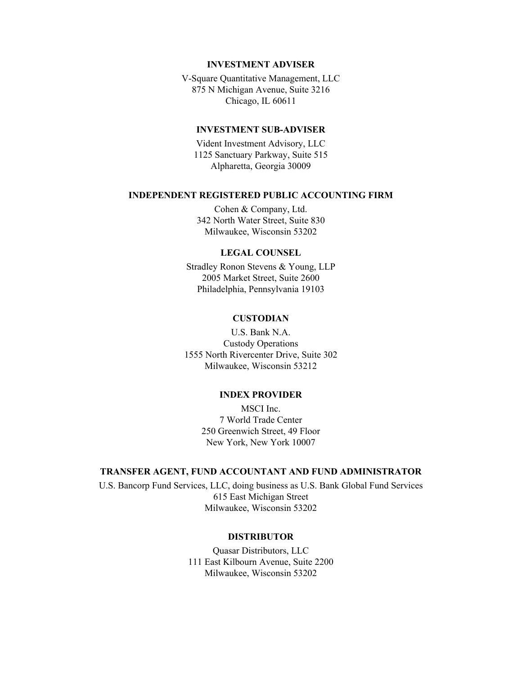#### **INVESTMENT ADVISER**

V-Square Quantitative Management, LLC 875 N Michigan Avenue, Suite 3216 Chicago, IL 60611

#### **INVESTMENT SUB-ADVISER**

Vident Investment Advisory, LLC 1125 Sanctuary Parkway, Suite 515 Alpharetta, Georgia 30009

#### **INDEPENDENT REGISTERED PUBLIC ACCOUNTING FIRM**

Cohen & Company, Ltd. 342 North Water Street, Suite 830 Milwaukee, Wisconsin 53202

#### **LEGAL COUNSEL**

Stradley Ronon Stevens & Young, LLP 2005 Market Street, Suite 2600 Philadelphia, Pennsylvania 19103

#### **CUSTODIAN**

U.S. Bank N.A. Custody Operations 1555 North Rivercenter Drive, Suite 302 Milwaukee, Wisconsin 53212

#### **INDEX PROVIDER**

MSCI Inc. 7 World Trade Center 250 Greenwich Street, 49 Floor New York, New York 10007

#### **TRANSFER AGENT, FUND ACCOUNTANT AND FUND ADMINISTRATOR**

U.S. Bancorp Fund Services, LLC, doing business as U.S. Bank Global Fund Services 615 East Michigan Street Milwaukee, Wisconsin 53202

#### **DISTRIBUTOR**

Quasar Distributors, LLC 111 East Kilbourn Avenue, Suite 2200 Milwaukee, Wisconsin 53202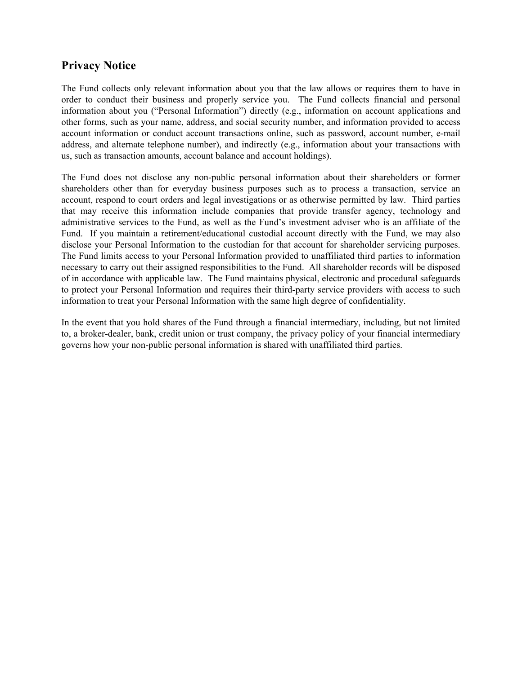# **Privacy Notice**

The Fund collects only relevant information about you that the law allows or requires them to have in order to conduct their business and properly service you. The Fund collects financial and personal information about you ("Personal Information") directly (e.g., information on account applications and other forms, such as your name, address, and social security number, and information provided to access account information or conduct account transactions online, such as password, account number, e-mail address, and alternate telephone number), and indirectly (e.g., information about your transactions with us, such as transaction amounts, account balance and account holdings).

The Fund does not disclose any non-public personal information about their shareholders or former shareholders other than for everyday business purposes such as to process a transaction, service an account, respond to court orders and legal investigations or as otherwise permitted by law. Third parties that may receive this information include companies that provide transfer agency, technology and administrative services to the Fund, as well as the Fund's investment adviser who is an affiliate of the Fund. If you maintain a retirement/educational custodial account directly with the Fund, we may also disclose your Personal Information to the custodian for that account for shareholder servicing purposes. The Fund limits access to your Personal Information provided to unaffiliated third parties to information necessary to carry out their assigned responsibilities to the Fund. All shareholder records will be disposed of in accordance with applicable law. The Fund maintains physical, electronic and procedural safeguards to protect your Personal Information and requires their third-party service providers with access to such information to treat your Personal Information with the same high degree of confidentiality.

In the event that you hold shares of the Fund through a financial intermediary, including, but not limited to, a broker-dealer, bank, credit union or trust company, the privacy policy of your financial intermediary governs how your non-public personal information is shared with unaffiliated third parties.